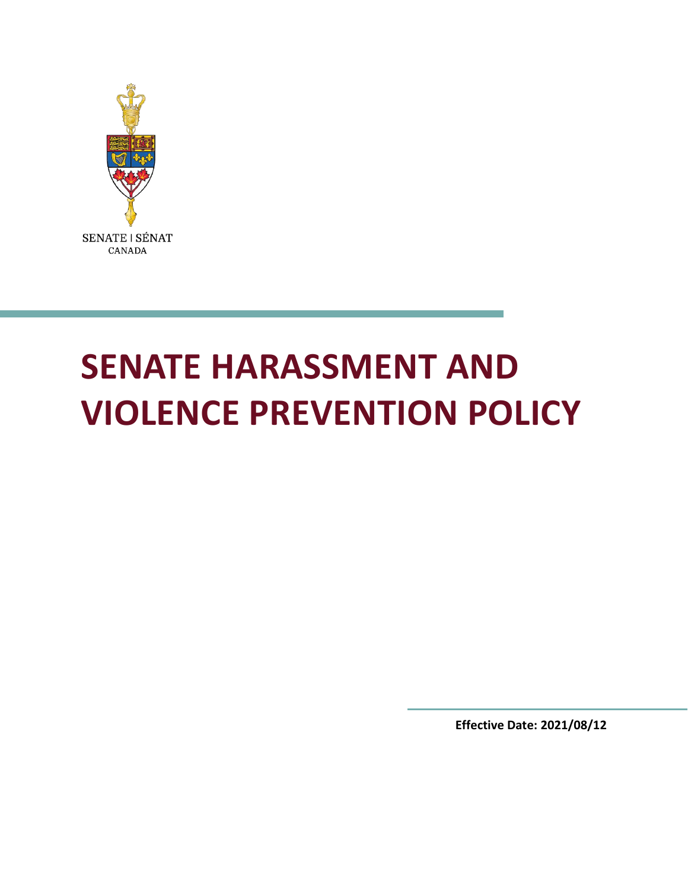

# **SENATE HARASSMENT AND VIOLENCE PREVENTION POLICY**

**Effective Date: 2021/08/12**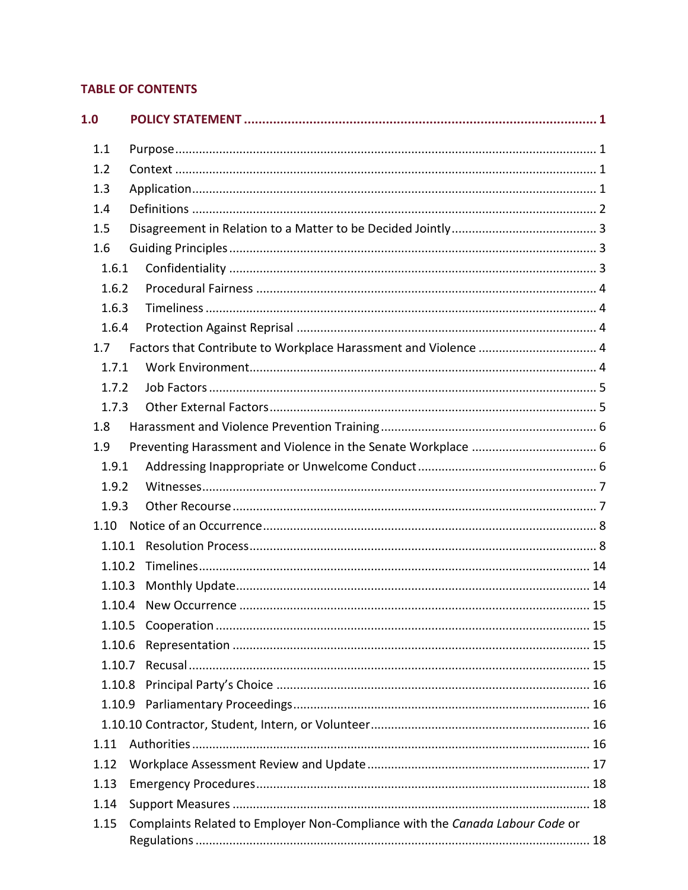# **TABLE OF CONTENTS**

| 1.0    |                                                                              |
|--------|------------------------------------------------------------------------------|
| 1.1    |                                                                              |
| 1.2    |                                                                              |
| 1.3    |                                                                              |
| 1.4    |                                                                              |
| 1.5    |                                                                              |
| 1.6    |                                                                              |
| 1.6.1  |                                                                              |
| 1.6.2  |                                                                              |
| 1.6.3  |                                                                              |
| 1.6.4  |                                                                              |
| 1.7    | Factors that Contribute to Workplace Harassment and Violence  4              |
| 1.7.1  |                                                                              |
| 1.7.2  |                                                                              |
| 1.7.3  |                                                                              |
| 1.8    |                                                                              |
| 1.9    |                                                                              |
| 1.9.1  |                                                                              |
| 1.9.2  |                                                                              |
| 1.9.3  |                                                                              |
| 1.10   |                                                                              |
| 1.10.1 |                                                                              |
| 1.10.2 |                                                                              |
| 1.10.3 |                                                                              |
| 1.10.4 |                                                                              |
| 1.10.5 |                                                                              |
| 1.10.6 |                                                                              |
| 1.10.7 |                                                                              |
| 1.10.8 |                                                                              |
| 1.10.9 |                                                                              |
|        |                                                                              |
| 1.11   |                                                                              |
| 1.12   |                                                                              |
| 1.13   |                                                                              |
| 1.14   |                                                                              |
| 1.15   | Complaints Related to Employer Non-Compliance with the Canada Labour Code or |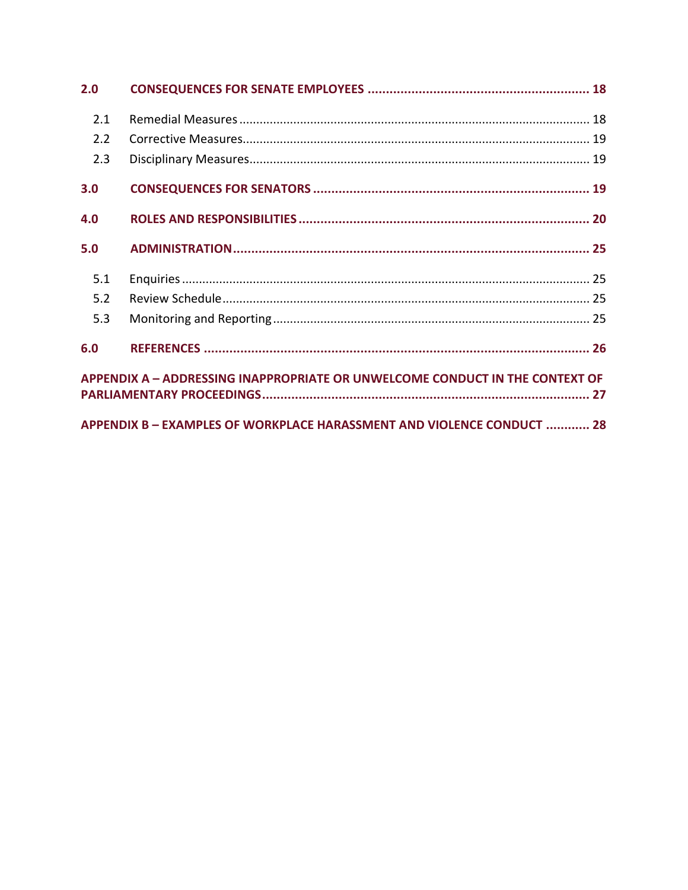| 2.0 |                                                                              |  |
|-----|------------------------------------------------------------------------------|--|
| 2.1 |                                                                              |  |
| 2.2 |                                                                              |  |
| 2.3 |                                                                              |  |
| 3.0 |                                                                              |  |
| 4.0 |                                                                              |  |
| 5.0 |                                                                              |  |
| 5.1 |                                                                              |  |
| 5.2 |                                                                              |  |
| 5.3 |                                                                              |  |
| 6.0 |                                                                              |  |
|     | APPENDIX A - ADDRESSING INAPPROPRIATE OR UNWELCOME CONDUCT IN THE CONTEXT OF |  |
|     |                                                                              |  |
|     | APPENDIX B - EXAMPLES OF WORKPLACE HARASSMENT AND VIOLENCE CONDUCT  28       |  |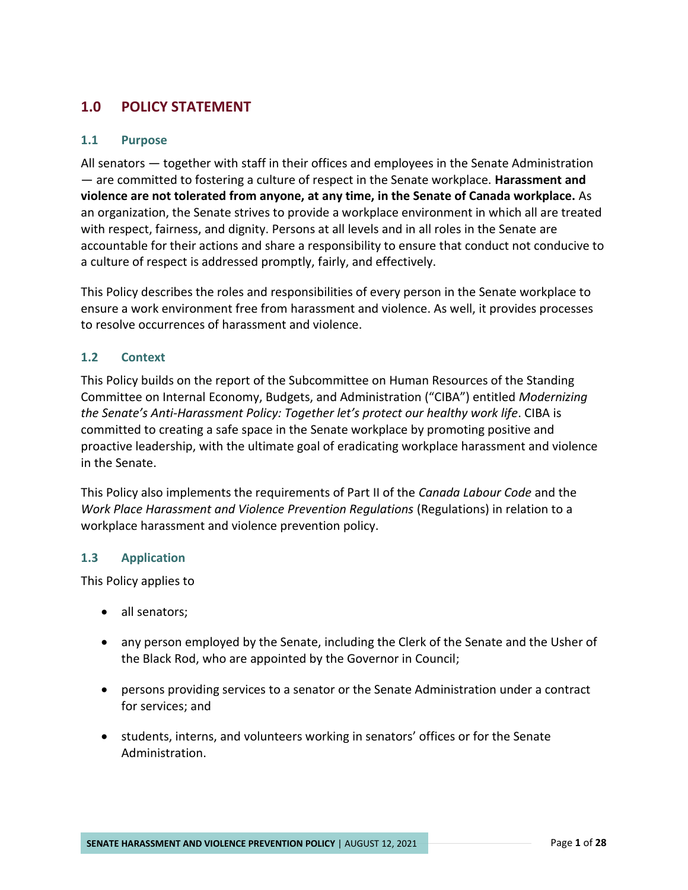# <span id="page-3-0"></span>**1.0 POLICY STATEMENT**

#### <span id="page-3-1"></span>**1.1 Purpose**

All senators — together with staff in their offices and employees in the Senate Administration — are committed to fostering a culture of respect in the Senate workplace. **Harassment and violence are not tolerated from anyone, at any time, in the Senate of Canada workplace.** As an organization, the Senate strives to provide a workplace environment in which all are treated with respect, fairness, and dignity. Persons at all levels and in all roles in the Senate are accountable for their actions and share a responsibility to ensure that conduct not conducive to a culture of respect is addressed promptly, fairly, and effectively.

This Policy describes the roles and responsibilities of every person in the Senate workplace to ensure a work environment free from harassment and violence. As well, it provides processes to resolve occurrences of harassment and violence.

#### <span id="page-3-2"></span>**1.2 Context**

This Policy builds on the report of the Subcommittee on Human Resources of the Standing Committee on Internal Economy, Budgets, and Administration ("CIBA") entitled *Modernizing the Senate's Anti-Harassment Policy: Together let's protect our healthy work life*. CIBA is committed to creating a safe space in the Senate workplace by promoting positive and proactive leadership, with the ultimate goal of eradicating workplace harassment and violence in the Senate.

This Policy also implements the requirements of Part II of the *Canada Labour Code* and the *Work Place Harassment and Violence Prevention Regulations* (Regulations) in relation to a workplace harassment and violence prevention policy.

#### <span id="page-3-3"></span>**1.3 Application**

This Policy applies to

- all senators;
- any person employed by the Senate, including the Clerk of the Senate and the Usher of the Black Rod, who are appointed by the Governor in Council;
- persons providing services to a senator or the Senate Administration under a contract for services; and
- students, interns, and volunteers working in senators' offices or for the Senate Administration.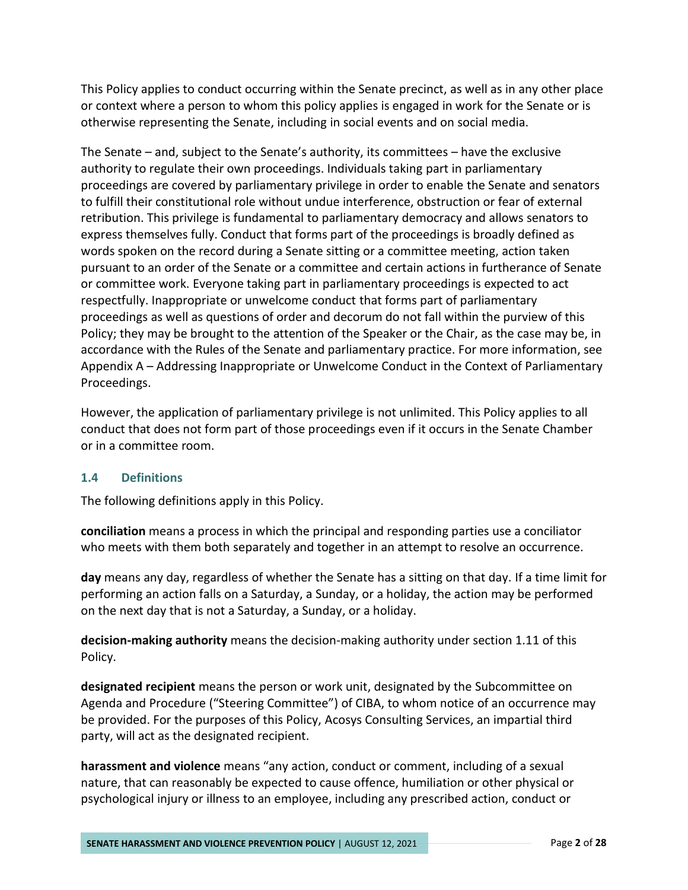This Policy applies to conduct occurring within the Senate precinct, as well as in any other place or context where a person to whom this policy applies is engaged in work for the Senate or is otherwise representing the Senate, including in social events and on social media.

The Senate – and, subject to the Senate's authority, its committees – have the exclusive authority to regulate their own proceedings. Individuals taking part in parliamentary proceedings are covered by parliamentary privilege in order to enable the Senate and senators to fulfill their constitutional role without undue interference, obstruction or fear of external retribution. This privilege is fundamental to parliamentary democracy and allows senators to express themselves fully. Conduct that forms part of the proceedings is broadly defined as words spoken on the record during a Senate sitting or a committee meeting, action taken pursuant to an order of the Senate or a committee and certain actions in furtherance of Senate or committee work. Everyone taking part in parliamentary proceedings is expected to act respectfully. Inappropriate or unwelcome conduct that forms part of parliamentary proceedings as well as questions of order and decorum do not fall within the purview of this Policy; they may be brought to the attention of the Speaker or the Chair, as the case may be, in accordance with the Rules of the Senate and parliamentary practice. For more information, see Appendix A – Addressing Inappropriate or Unwelcome Conduct in the Context of Parliamentary Proceedings.

However, the application of parliamentary privilege is not unlimited. This Policy applies to all conduct that does not form part of those proceedings even if it occurs in the Senate Chamber or in a committee room.

#### <span id="page-4-0"></span>**1.4 Definitions**

The following definitions apply in this Policy.

**conciliation** means a process in which the principal and responding parties use a conciliator who meets with them both separately and together in an attempt to resolve an occurrence.

**day** means any day, regardless of whether the Senate has a sitting on that day. If a time limit for performing an action falls on a Saturday, a Sunday, or a holiday, the action may be performed on the next day that is not a Saturday, a Sunday, or a holiday.

**decision-making authority** means the decision-making authority under section 1.11 of this Policy.

**designated recipient** means the person or work unit, designated by the Subcommittee on Agenda and Procedure ("Steering Committee") of CIBA, to whom notice of an occurrence may be provided. For the purposes of this Policy, Acosys Consulting Services, an impartial third party, will act as the designated recipient.

**harassment and violence** means "any action, conduct or comment, including of a sexual nature, that can reasonably be expected to cause offence, humiliation or other physical or psychological injury or illness to an employee, including any prescribed action, conduct or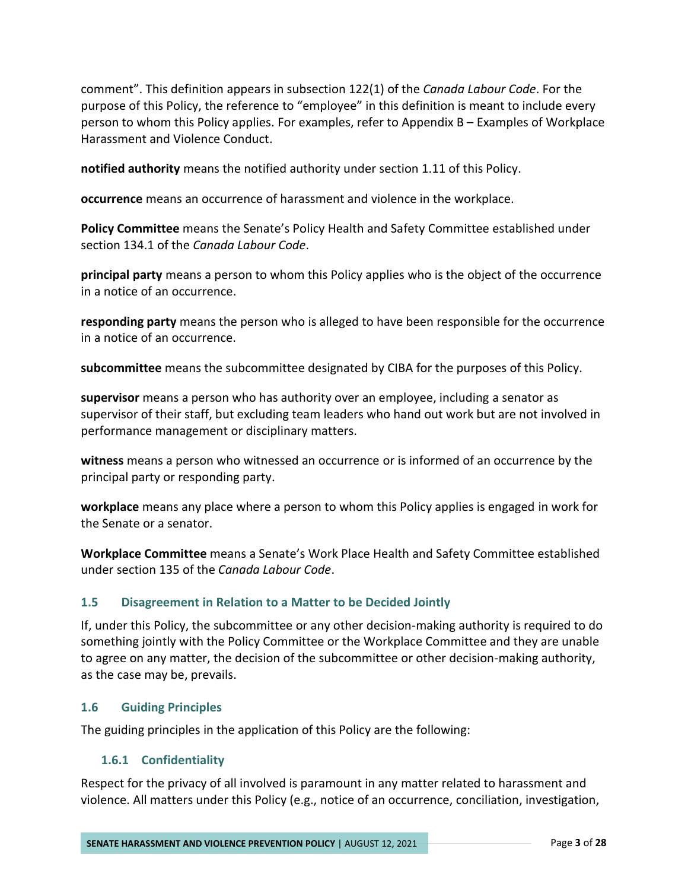comment". This definition appears in subsection 122(1) of the *Canada Labour Code*. For the purpose of this Policy, the reference to "employee" in this definition is meant to include every person to whom this Policy applies. For examples, refer to Appendix B – Examples of Workplace Harassment and Violence Conduct.

**notified authority** means the notified authority under section 1.11 of this Policy.

**occurrence** means an occurrence of harassment and violence in the workplace.

**Policy Committee** means the Senate's Policy Health and Safety Committee established under section 134.1 of the *Canada Labour Code*.

**principal party** means a person to whom this Policy applies who is the object of the occurrence in a notice of an occurrence.

**responding party** means the person who is alleged to have been responsible for the occurrence in a notice of an occurrence.

**subcommittee** means the subcommittee designated by CIBA for the purposes of this Policy.

**supervisor** means a person who has authority over an employee, including a senator as supervisor of their staff, but excluding team leaders who hand out work but are not involved in performance management or disciplinary matters.

**witness** means a person who witnessed an occurrence or is informed of an occurrence by the principal party or responding party.

**workplace** means any place where a person to whom this Policy applies is engaged in work for the Senate or a senator.

**Workplace Committee** means a Senate's Work Place Health and Safety Committee established under section 135 of the *Canada Labour Code*.

#### <span id="page-5-0"></span>**1.5 Disagreement in Relation to a Matter to be Decided Jointly**

If, under this Policy, the subcommittee or any other decision-making authority is required to do something jointly with the Policy Committee or the Workplace Committee and they are unable to agree on any matter, the decision of the subcommittee or other decision-making authority, as the case may be, prevails.

#### <span id="page-5-1"></span>**1.6 Guiding Principles**

The guiding principles in the application of this Policy are the following:

#### <span id="page-5-2"></span>**1.6.1 Confidentiality**

Respect for the privacy of all involved is paramount in any matter related to harassment and violence. All matters under this Policy (e.g., notice of an occurrence, conciliation, investigation,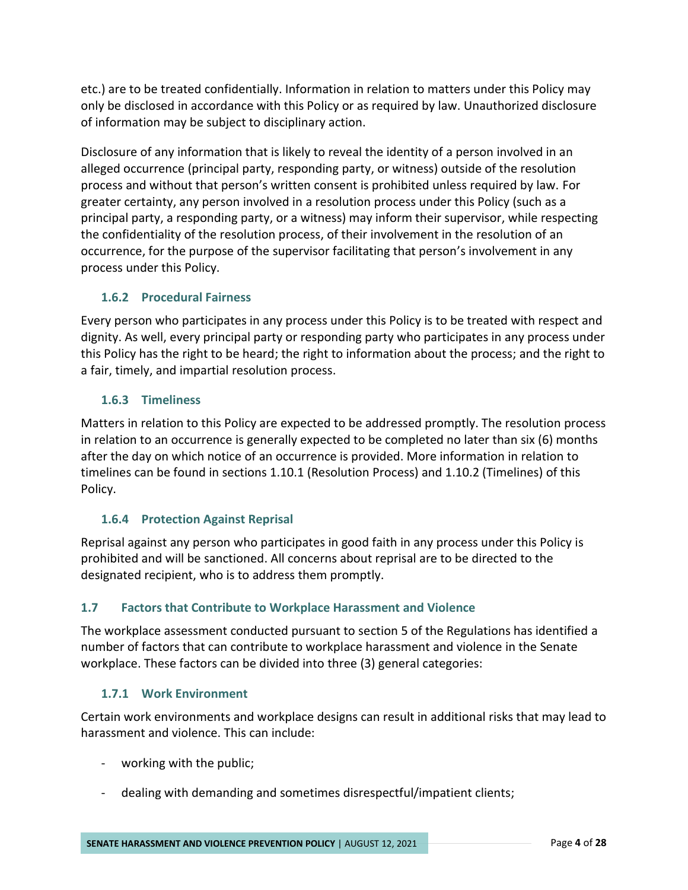etc.) are to be treated confidentially. Information in relation to matters under this Policy may only be disclosed in accordance with this Policy or as required by law. Unauthorized disclosure of information may be subject to disciplinary action.

Disclosure of any information that is likely to reveal the identity of a person involved in an alleged occurrence (principal party, responding party, or witness) outside of the resolution process and without that person's written consent is prohibited unless required by law. For greater certainty, any person involved in a resolution process under this Policy (such as a principal party, a responding party, or a witness) may inform their supervisor, while respecting the confidentiality of the resolution process, of their involvement in the resolution of an occurrence, for the purpose of the supervisor facilitating that person's involvement in any process under this Policy.

# <span id="page-6-0"></span>**1.6.2 Procedural Fairness**

Every person who participates in any process under this Policy is to be treated with respect and dignity. As well, every principal party or responding party who participates in any process under this Policy has the right to be heard; the right to information about the process; and the right to a fair, timely, and impartial resolution process.

# <span id="page-6-1"></span>**1.6.3 Timeliness**

Matters in relation to this Policy are expected to be addressed promptly. The resolution process in relation to an occurrence is generally expected to be completed no later than six (6) months after the day on which notice of an occurrence is provided. More information in relation to timelines can be found in sections 1.10.1 (Resolution Process) and 1.10.2 (Timelines) of this Policy.

# <span id="page-6-2"></span>**1.6.4 Protection Against Reprisal**

Reprisal against any person who participates in good faith in any process under this Policy is prohibited and will be sanctioned. All concerns about reprisal are to be directed to the designated recipient, who is to address them promptly.

# <span id="page-6-3"></span>**1.7 Factors that Contribute to Workplace Harassment and Violence**

The workplace assessment conducted pursuant to section 5 of the Regulations has identified a number of factors that can contribute to workplace harassment and violence in the Senate workplace. These factors can be divided into three (3) general categories:

# <span id="page-6-4"></span>**1.7.1 Work Environment**

Certain work environments and workplace designs can result in additional risks that may lead to harassment and violence. This can include:

- working with the public;
- dealing with demanding and sometimes disrespectful/impatient clients;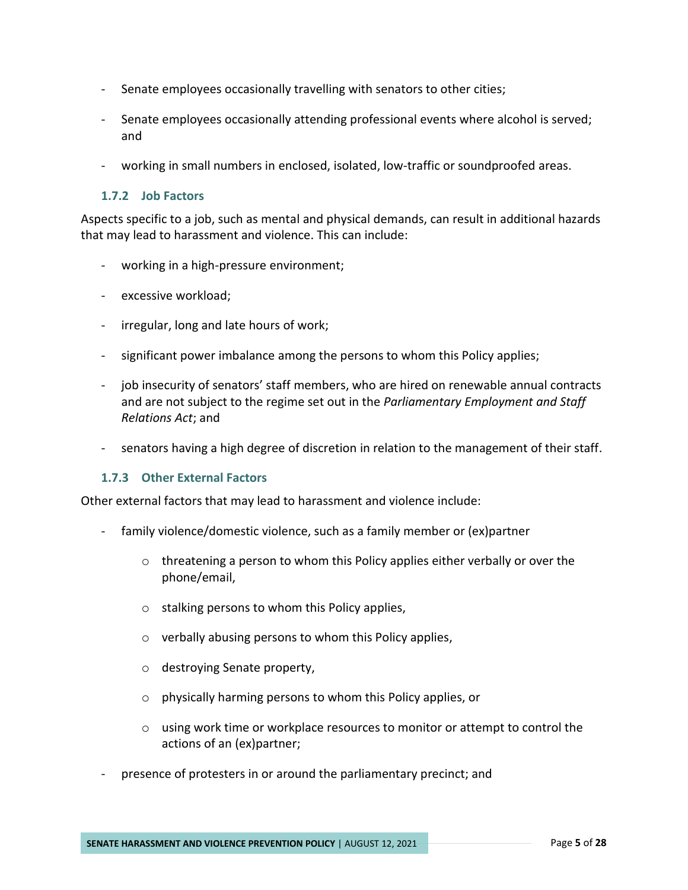- Senate employees occasionally travelling with senators to other cities;
- Senate employees occasionally attending professional events where alcohol is served; and
- working in small numbers in enclosed, isolated, low-traffic or soundproofed areas.

#### <span id="page-7-0"></span>**1.7.2 Job Factors**

Aspects specific to a job, such as mental and physical demands, can result in additional hazards that may lead to harassment and violence. This can include:

- working in a high-pressure environment;
- excessive workload;
- irregular, long and late hours of work;
- significant power imbalance among the persons to whom this Policy applies;
- job insecurity of senators' staff members, who are hired on renewable annual contracts and are not subject to the regime set out in the *Parliamentary Employment and Staff Relations Act*; and
- senators having a high degree of discretion in relation to the management of their staff.

#### <span id="page-7-1"></span>**1.7.3 Other External Factors**

Other external factors that may lead to harassment and violence include:

- family violence/domestic violence, such as a family member or (ex)partner
	- $\circ$  threatening a person to whom this Policy applies either verbally or over the phone/email,
	- o stalking persons to whom this Policy applies,
	- o verbally abusing persons to whom this Policy applies,
	- o destroying Senate property,
	- o physically harming persons to whom this Policy applies, or
	- $\circ$  using work time or workplace resources to monitor or attempt to control the actions of an (ex)partner;
- presence of protesters in or around the parliamentary precinct; and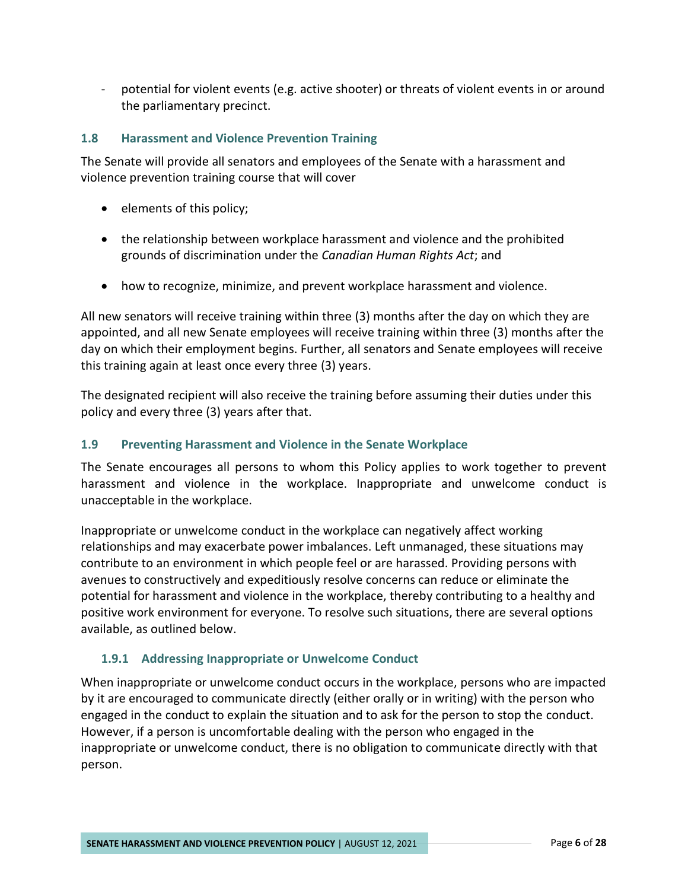- potential for violent events (e.g. active shooter) or threats of violent events in or around the parliamentary precinct.

## <span id="page-8-0"></span>**1.8 Harassment and Violence Prevention Training**

The Senate will provide all senators and employees of the Senate with a harassment and violence prevention training course that will cover

- elements of this policy;
- the relationship between workplace harassment and violence and the prohibited grounds of discrimination under the *Canadian Human Rights Act*; and
- how to recognize, minimize, and prevent workplace harassment and violence.

All new senators will receive training within three (3) months after the day on which they are appointed, and all new Senate employees will receive training within three (3) months after the day on which their employment begins. Further, all senators and Senate employees will receive this training again at least once every three (3) years.

The designated recipient will also receive the training before assuming their duties under this policy and every three (3) years after that.

#### <span id="page-8-1"></span>**1.9 Preventing Harassment and Violence in the Senate Workplace**

The Senate encourages all persons to whom this Policy applies to work together to prevent harassment and violence in the workplace. Inappropriate and unwelcome conduct is unacceptable in the workplace.

Inappropriate or unwelcome conduct in the workplace can negatively affect working relationships and may exacerbate power imbalances. Left unmanaged, these situations may contribute to an environment in which people feel or are harassed. Providing persons with avenues to constructively and expeditiously resolve concerns can reduce or eliminate the potential for harassment and violence in the workplace, thereby contributing to a healthy and positive work environment for everyone. To resolve such situations, there are several options available, as outlined below.

# <span id="page-8-2"></span>**1.9.1 Addressing Inappropriate or Unwelcome Conduct**

When inappropriate or unwelcome conduct occurs in the workplace, persons who are impacted by it are encouraged to communicate directly (either orally or in writing) with the person who engaged in the conduct to explain the situation and to ask for the person to stop the conduct. However, if a person is uncomfortable dealing with the person who engaged in the inappropriate or unwelcome conduct, there is no obligation to communicate directly with that person.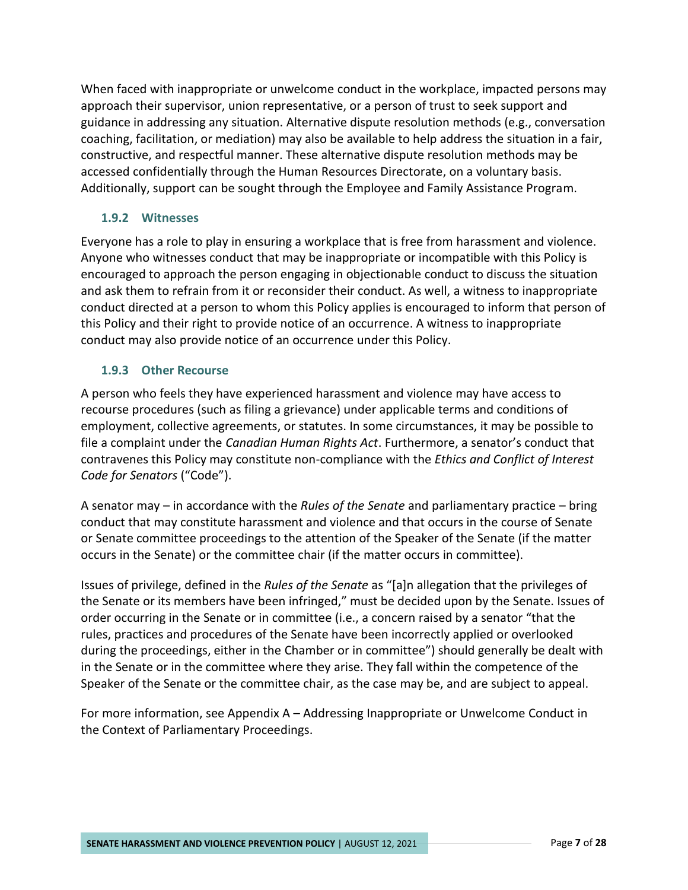When faced with inappropriate or unwelcome conduct in the workplace, impacted persons may approach their supervisor, union representative, or a person of trust to seek support and guidance in addressing any situation. Alternative dispute resolution methods (e.g., conversation coaching, facilitation, or mediation) may also be available to help address the situation in a fair, constructive, and respectful manner. These alternative dispute resolution methods may be accessed confidentially through the Human Resources Directorate, on a voluntary basis. Additionally, support can be sought through the Employee and Family Assistance Program.

# <span id="page-9-0"></span>**1.9.2 Witnesses**

Everyone has a role to play in ensuring a workplace that is free from harassment and violence. Anyone who witnesses conduct that may be inappropriate or incompatible with this Policy is encouraged to approach the person engaging in objectionable conduct to discuss the situation and ask them to refrain from it or reconsider their conduct. As well, a witness to inappropriate conduct directed at a person to whom this Policy applies is encouraged to inform that person of this Policy and their right to provide notice of an occurrence. A witness to inappropriate conduct may also provide notice of an occurrence under this Policy.

## <span id="page-9-1"></span>**1.9.3 Other Recourse**

A person who feels they have experienced harassment and violence may have access to recourse procedures (such as filing a grievance) under applicable terms and conditions of employment, collective agreements, or statutes. In some circumstances, it may be possible to file a complaint under the *Canadian Human Rights Act*. Furthermore, a senator's conduct that contravenes this Policy may constitute non-compliance with the *Ethics and Conflict of Interest Code for Senators* ("Code").

A senator may – in accordance with the *Rules of the Senate* and parliamentary practice – bring conduct that may constitute harassment and violence and that occurs in the course of Senate or Senate committee proceedings to the attention of the Speaker of the Senate (if the matter occurs in the Senate) or the committee chair (if the matter occurs in committee).

Issues of privilege, defined in the *Rules of the Senate* as "[a]n allegation that the privileges of the Senate or its members have been infringed," must be decided upon by the Senate. Issues of order occurring in the Senate or in committee (i.e., a concern raised by a senator "that the rules, practices and procedures of the Senate have been incorrectly applied or overlooked during the proceedings, either in the Chamber or in committee") should generally be dealt with in the Senate or in the committee where they arise. They fall within the competence of the Speaker of the Senate or the committee chair, as the case may be, and are subject to appeal.

For more information, see Appendix A – Addressing Inappropriate or Unwelcome Conduct in the Context of Parliamentary Proceedings.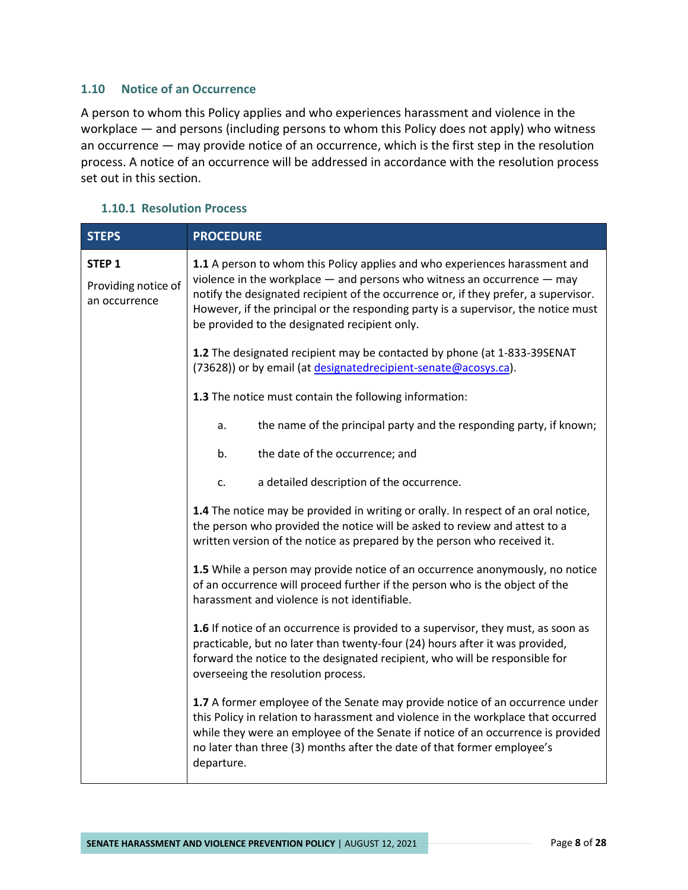#### <span id="page-10-0"></span>**1.10 Notice of an Occurrence**

A person to whom this Policy applies and who experiences harassment and violence in the workplace — and persons (including persons to whom this Policy does not apply) who witness an occurrence — may provide notice of an occurrence, which is the first step in the resolution process. A notice of an occurrence will be addressed in accordance with the resolution process set out in this section.

#### <span id="page-10-1"></span>**1.10.1 Resolution Process**

| <b>STEPS</b>                                              | <b>PROCEDURE</b>                                                                                                                                                                                                                                                                                                                                                                         |  |
|-----------------------------------------------------------|------------------------------------------------------------------------------------------------------------------------------------------------------------------------------------------------------------------------------------------------------------------------------------------------------------------------------------------------------------------------------------------|--|
| STEP <sub>1</sub><br>Providing notice of<br>an occurrence | 1.1 A person to whom this Policy applies and who experiences harassment and<br>violence in the workplace $-$ and persons who witness an occurrence $-$ may<br>notify the designated recipient of the occurrence or, if they prefer, a supervisor.<br>However, if the principal or the responding party is a supervisor, the notice must<br>be provided to the designated recipient only. |  |
|                                                           | 1.2 The designated recipient may be contacted by phone (at 1-833-39SENAT<br>(73628)) or by email (at designatedrecipient-senate@acosys.ca).                                                                                                                                                                                                                                              |  |
|                                                           | 1.3 The notice must contain the following information:                                                                                                                                                                                                                                                                                                                                   |  |
|                                                           | the name of the principal party and the responding party, if known;<br>a.                                                                                                                                                                                                                                                                                                                |  |
|                                                           | the date of the occurrence; and<br>b.                                                                                                                                                                                                                                                                                                                                                    |  |
|                                                           | a detailed description of the occurrence.<br>c.                                                                                                                                                                                                                                                                                                                                          |  |
|                                                           | <b>1.4</b> The notice may be provided in writing or orally. In respect of an oral notice,<br>the person who provided the notice will be asked to review and attest to a<br>written version of the notice as prepared by the person who received it.                                                                                                                                      |  |
|                                                           | 1.5 While a person may provide notice of an occurrence anonymously, no notice<br>of an occurrence will proceed further if the person who is the object of the<br>harassment and violence is not identifiable.                                                                                                                                                                            |  |
|                                                           | 1.6 If notice of an occurrence is provided to a supervisor, they must, as soon as<br>practicable, but no later than twenty-four (24) hours after it was provided,<br>forward the notice to the designated recipient, who will be responsible for<br>overseeing the resolution process.                                                                                                   |  |
|                                                           | 1.7 A former employee of the Senate may provide notice of an occurrence under<br>this Policy in relation to harassment and violence in the workplace that occurred<br>while they were an employee of the Senate if notice of an occurrence is provided<br>no later than three (3) months after the date of that former employee's<br>departure.                                          |  |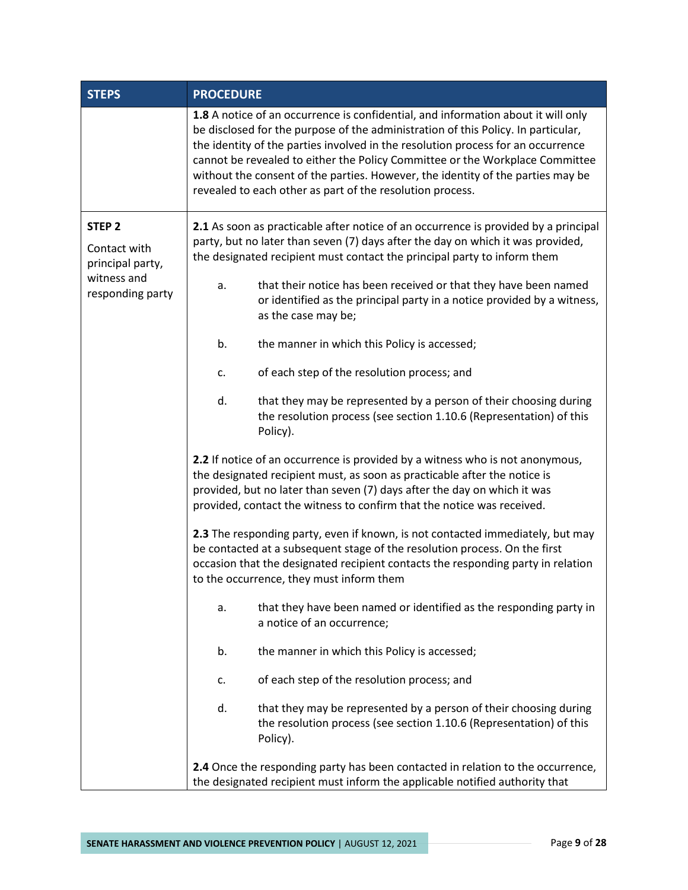| <b>STEPS</b>                     | <b>PROCEDURE</b>                                                                                                                                            |                                                                                                                                                                                                                                                                                                                                                                                                                                                                                            |  |
|----------------------------------|-------------------------------------------------------------------------------------------------------------------------------------------------------------|--------------------------------------------------------------------------------------------------------------------------------------------------------------------------------------------------------------------------------------------------------------------------------------------------------------------------------------------------------------------------------------------------------------------------------------------------------------------------------------------|--|
|                                  |                                                                                                                                                             | 1.8 A notice of an occurrence is confidential, and information about it will only<br>be disclosed for the purpose of the administration of this Policy. In particular,<br>the identity of the parties involved in the resolution process for an occurrence<br>cannot be revealed to either the Policy Committee or the Workplace Committee<br>without the consent of the parties. However, the identity of the parties may be<br>revealed to each other as part of the resolution process. |  |
| STEP <sub>2</sub>                | 2.1 As soon as practicable after notice of an occurrence is provided by a principal                                                                         |                                                                                                                                                                                                                                                                                                                                                                                                                                                                                            |  |
| Contact with<br>principal party, | party, but no later than seven (7) days after the day on which it was provided,<br>the designated recipient must contact the principal party to inform them |                                                                                                                                                                                                                                                                                                                                                                                                                                                                                            |  |
| witness and<br>responding party  | a.                                                                                                                                                          | that their notice has been received or that they have been named<br>or identified as the principal party in a notice provided by a witness,<br>as the case may be;                                                                                                                                                                                                                                                                                                                         |  |
|                                  | b.                                                                                                                                                          | the manner in which this Policy is accessed;                                                                                                                                                                                                                                                                                                                                                                                                                                               |  |
|                                  | c.                                                                                                                                                          | of each step of the resolution process; and                                                                                                                                                                                                                                                                                                                                                                                                                                                |  |
|                                  | d.                                                                                                                                                          | that they may be represented by a person of their choosing during<br>the resolution process (see section 1.10.6 (Representation) of this<br>Policy).                                                                                                                                                                                                                                                                                                                                       |  |
|                                  |                                                                                                                                                             | 2.2 If notice of an occurrence is provided by a witness who is not anonymous,<br>the designated recipient must, as soon as practicable after the notice is<br>provided, but no later than seven (7) days after the day on which it was<br>provided, contact the witness to confirm that the notice was received.                                                                                                                                                                           |  |
|                                  |                                                                                                                                                             | 2.3 The responding party, even if known, is not contacted immediately, but may<br>be contacted at a subsequent stage of the resolution process. On the first<br>occasion that the designated recipient contacts the responding party in relation<br>to the occurrence, they must inform them                                                                                                                                                                                               |  |
|                                  | a.                                                                                                                                                          | that they have been named or identified as the responding party in<br>a notice of an occurrence;                                                                                                                                                                                                                                                                                                                                                                                           |  |
|                                  | b.                                                                                                                                                          | the manner in which this Policy is accessed;                                                                                                                                                                                                                                                                                                                                                                                                                                               |  |
|                                  | c.                                                                                                                                                          | of each step of the resolution process; and                                                                                                                                                                                                                                                                                                                                                                                                                                                |  |
|                                  | d.                                                                                                                                                          | that they may be represented by a person of their choosing during<br>the resolution process (see section 1.10.6 (Representation) of this<br>Policy).                                                                                                                                                                                                                                                                                                                                       |  |
|                                  |                                                                                                                                                             | 2.4 Once the responding party has been contacted in relation to the occurrence,<br>the designated recipient must inform the applicable notified authority that                                                                                                                                                                                                                                                                                                                             |  |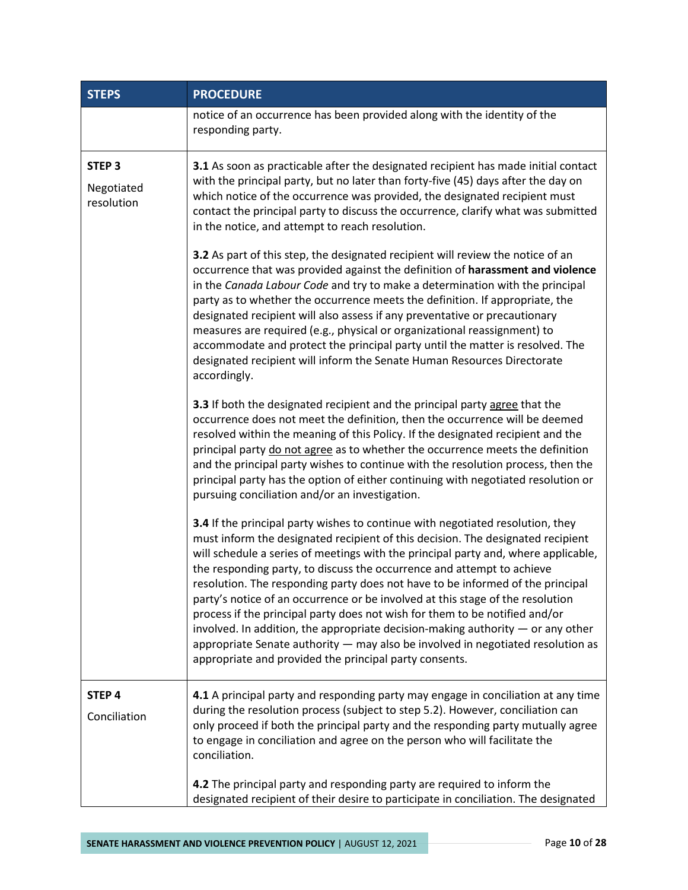| <b>STEPS</b>                                  | <b>PROCEDURE</b>                                                                                                                                                                                                                                                                                                                                                                                                                                                                                                                                                                                                                                                                                                                                                                                                                                                                                                                                                                                                                                                                |
|-----------------------------------------------|---------------------------------------------------------------------------------------------------------------------------------------------------------------------------------------------------------------------------------------------------------------------------------------------------------------------------------------------------------------------------------------------------------------------------------------------------------------------------------------------------------------------------------------------------------------------------------------------------------------------------------------------------------------------------------------------------------------------------------------------------------------------------------------------------------------------------------------------------------------------------------------------------------------------------------------------------------------------------------------------------------------------------------------------------------------------------------|
|                                               | notice of an occurrence has been provided along with the identity of the<br>responding party.                                                                                                                                                                                                                                                                                                                                                                                                                                                                                                                                                                                                                                                                                                                                                                                                                                                                                                                                                                                   |
| STEP <sub>3</sub><br>Negotiated<br>resolution | <b>3.1</b> As soon as practicable after the designated recipient has made initial contact<br>with the principal party, but no later than forty-five (45) days after the day on<br>which notice of the occurrence was provided, the designated recipient must<br>contact the principal party to discuss the occurrence, clarify what was submitted<br>in the notice, and attempt to reach resolution.<br>3.2 As part of this step, the designated recipient will review the notice of an<br>occurrence that was provided against the definition of harassment and violence<br>in the Canada Labour Code and try to make a determination with the principal<br>party as to whether the occurrence meets the definition. If appropriate, the<br>designated recipient will also assess if any preventative or precautionary<br>measures are required (e.g., physical or organizational reassignment) to<br>accommodate and protect the principal party until the matter is resolved. The<br>designated recipient will inform the Senate Human Resources Directorate<br>accordingly. |
|                                               | 3.3 If both the designated recipient and the principal party agree that the<br>occurrence does not meet the definition, then the occurrence will be deemed<br>resolved within the meaning of this Policy. If the designated recipient and the<br>principal party do not agree as to whether the occurrence meets the definition<br>and the principal party wishes to continue with the resolution process, then the<br>principal party has the option of either continuing with negotiated resolution or<br>pursuing conciliation and/or an investigation.                                                                                                                                                                                                                                                                                                                                                                                                                                                                                                                      |
|                                               | 3.4 If the principal party wishes to continue with negotiated resolution, they<br>must inform the designated recipient of this decision. The designated recipient<br>will schedule a series of meetings with the principal party and, where applicable,<br>the responding party, to discuss the occurrence and attempt to achieve<br>resolution. The responding party does not have to be informed of the principal<br>party's notice of an occurrence or be involved at this stage of the resolution<br>process if the principal party does not wish for them to be notified and/or<br>involved. In addition, the appropriate decision-making authority $-$ or any other<br>appropriate Senate authority - may also be involved in negotiated resolution as<br>appropriate and provided the principal party consents.                                                                                                                                                                                                                                                          |
| STEP 4<br>Conciliation                        | 4.1 A principal party and responding party may engage in conciliation at any time<br>during the resolution process (subject to step 5.2). However, conciliation can<br>only proceed if both the principal party and the responding party mutually agree<br>to engage in conciliation and agree on the person who will facilitate the<br>conciliation.<br>4.2 The principal party and responding party are required to inform the                                                                                                                                                                                                                                                                                                                                                                                                                                                                                                                                                                                                                                                |
|                                               | designated recipient of their desire to participate in conciliation. The designated                                                                                                                                                                                                                                                                                                                                                                                                                                                                                                                                                                                                                                                                                                                                                                                                                                                                                                                                                                                             |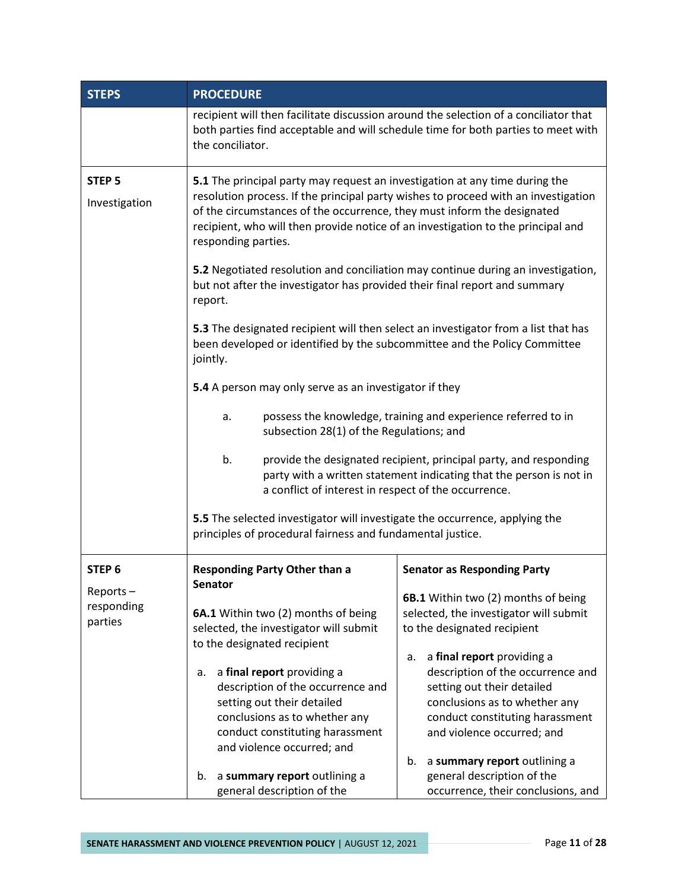| <b>STEPS</b>                                           | <b>PROCEDURE</b>                                                                                                                                                                                                                                                                                                                                                                                                                                                                                                                                                                                                                                                                                                                                                                                                                                                                                                                                                                                                                                                                                           |                                                                                                                                                                                                                                                                                                                                                                                                                                 |  |
|--------------------------------------------------------|------------------------------------------------------------------------------------------------------------------------------------------------------------------------------------------------------------------------------------------------------------------------------------------------------------------------------------------------------------------------------------------------------------------------------------------------------------------------------------------------------------------------------------------------------------------------------------------------------------------------------------------------------------------------------------------------------------------------------------------------------------------------------------------------------------------------------------------------------------------------------------------------------------------------------------------------------------------------------------------------------------------------------------------------------------------------------------------------------------|---------------------------------------------------------------------------------------------------------------------------------------------------------------------------------------------------------------------------------------------------------------------------------------------------------------------------------------------------------------------------------------------------------------------------------|--|
|                                                        | recipient will then facilitate discussion around the selection of a conciliator that<br>both parties find acceptable and will schedule time for both parties to meet with<br>the conciliator.                                                                                                                                                                                                                                                                                                                                                                                                                                                                                                                                                                                                                                                                                                                                                                                                                                                                                                              |                                                                                                                                                                                                                                                                                                                                                                                                                                 |  |
| STEP <sub>5</sub><br>Investigation                     | 5.1 The principal party may request an investigation at any time during the<br>resolution process. If the principal party wishes to proceed with an investigation<br>of the circumstances of the occurrence, they must inform the designated<br>recipient, who will then provide notice of an investigation to the principal and<br>responding parties.<br>5.2 Negotiated resolution and conciliation may continue during an investigation,<br>but not after the investigator has provided their final report and summary<br>report.<br>5.3 The designated recipient will then select an investigator from a list that has<br>been developed or identified by the subcommittee and the Policy Committee<br>jointly.<br>5.4 A person may only serve as an investigator if they<br>possess the knowledge, training and experience referred to in<br>a.<br>subsection 28(1) of the Regulations; and<br>b.<br>provide the designated recipient, principal party, and responding<br>party with a written statement indicating that the person is not in<br>a conflict of interest in respect of the occurrence. |                                                                                                                                                                                                                                                                                                                                                                                                                                 |  |
|                                                        | 5.5 The selected investigator will investigate the occurrence, applying the<br>principles of procedural fairness and fundamental justice.                                                                                                                                                                                                                                                                                                                                                                                                                                                                                                                                                                                                                                                                                                                                                                                                                                                                                                                                                                  |                                                                                                                                                                                                                                                                                                                                                                                                                                 |  |
| STEP <sub>6</sub><br>Reports-<br>responding<br>parties | <b>Responding Party Other than a</b><br>Senator<br>6A.1 Within two (2) months of being<br>selected, the investigator will submit<br>to the designated recipient<br>a final report providing a<br>a.<br>description of the occurrence and<br>setting out their detailed<br>conclusions as to whether any<br>conduct constituting harassment<br>and violence occurred; and<br>a summary report outlining a<br>b.                                                                                                                                                                                                                                                                                                                                                                                                                                                                                                                                                                                                                                                                                             | <b>Senator as Responding Party</b><br>6B.1 Within two (2) months of being<br>selected, the investigator will submit<br>to the designated recipient<br>a final report providing a<br>a.<br>description of the occurrence and<br>setting out their detailed<br>conclusions as to whether any<br>conduct constituting harassment<br>and violence occurred; and<br>a summary report outlining a<br>b.<br>general description of the |  |
|                                                        | general description of the                                                                                                                                                                                                                                                                                                                                                                                                                                                                                                                                                                                                                                                                                                                                                                                                                                                                                                                                                                                                                                                                                 | occurrence, their conclusions, and                                                                                                                                                                                                                                                                                                                                                                                              |  |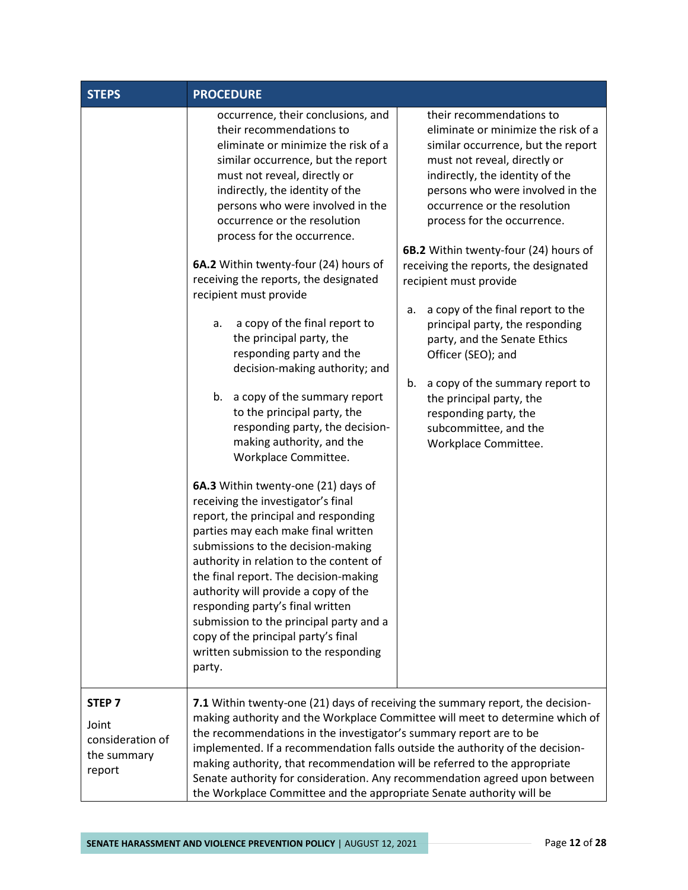| <b>STEPS</b>                                                            | <b>PROCEDURE</b>                                                                                                                                                                                                                                                                                                                                                                                                                                                                                                                                                                                                                                                                                                                                                                                                                                                                                                                                                                                                                                                                                                                                                                                                               |                                                                                                                                                                                                                                                                                                                                                                                                                                                                                                                                                                                                                                                                            |
|-------------------------------------------------------------------------|--------------------------------------------------------------------------------------------------------------------------------------------------------------------------------------------------------------------------------------------------------------------------------------------------------------------------------------------------------------------------------------------------------------------------------------------------------------------------------------------------------------------------------------------------------------------------------------------------------------------------------------------------------------------------------------------------------------------------------------------------------------------------------------------------------------------------------------------------------------------------------------------------------------------------------------------------------------------------------------------------------------------------------------------------------------------------------------------------------------------------------------------------------------------------------------------------------------------------------|----------------------------------------------------------------------------------------------------------------------------------------------------------------------------------------------------------------------------------------------------------------------------------------------------------------------------------------------------------------------------------------------------------------------------------------------------------------------------------------------------------------------------------------------------------------------------------------------------------------------------------------------------------------------------|
|                                                                         | occurrence, their conclusions, and<br>their recommendations to<br>eliminate or minimize the risk of a<br>similar occurrence, but the report<br>must not reveal, directly or<br>indirectly, the identity of the<br>persons who were involved in the<br>occurrence or the resolution<br>process for the occurrence.<br>6A.2 Within twenty-four (24) hours of<br>receiving the reports, the designated<br>recipient must provide<br>a copy of the final report to<br>а.<br>the principal party, the<br>responding party and the<br>decision-making authority; and<br>b. a copy of the summary report<br>to the principal party, the<br>responding party, the decision-<br>making authority, and the<br>Workplace Committee.<br>6A.3 Within twenty-one (21) days of<br>receiving the investigator's final<br>report, the principal and responding<br>parties may each make final written<br>submissions to the decision-making<br>authority in relation to the content of<br>the final report. The decision-making<br>authority will provide a copy of the<br>responding party's final written<br>submission to the principal party and a<br>copy of the principal party's final<br>written submission to the responding<br>party. | their recommendations to<br>eliminate or minimize the risk of a<br>similar occurrence, but the report<br>must not reveal, directly or<br>indirectly, the identity of the<br>persons who were involved in the<br>occurrence or the resolution<br>process for the occurrence.<br>6B.2 Within twenty-four (24) hours of<br>receiving the reports, the designated<br>recipient must provide<br>a copy of the final report to the<br>a.<br>principal party, the responding<br>party, and the Senate Ethics<br>Officer (SEO); and<br>a copy of the summary report to<br>b.<br>the principal party, the<br>responding party, the<br>subcommittee, and the<br>Workplace Committee. |
| STEP <sub>7</sub><br>Joint<br>consideration of<br>the summary<br>report | 7.1 Within twenty-one (21) days of receiving the summary report, the decision-<br>making authority and the Workplace Committee will meet to determine which of<br>the recommendations in the investigator's summary report are to be<br>implemented. If a recommendation falls outside the authority of the decision-<br>making authority, that recommendation will be referred to the appropriate<br>Senate authority for consideration. Any recommendation agreed upon between<br>the Workplace Committee and the appropriate Senate authority will be                                                                                                                                                                                                                                                                                                                                                                                                                                                                                                                                                                                                                                                                       |                                                                                                                                                                                                                                                                                                                                                                                                                                                                                                                                                                                                                                                                            |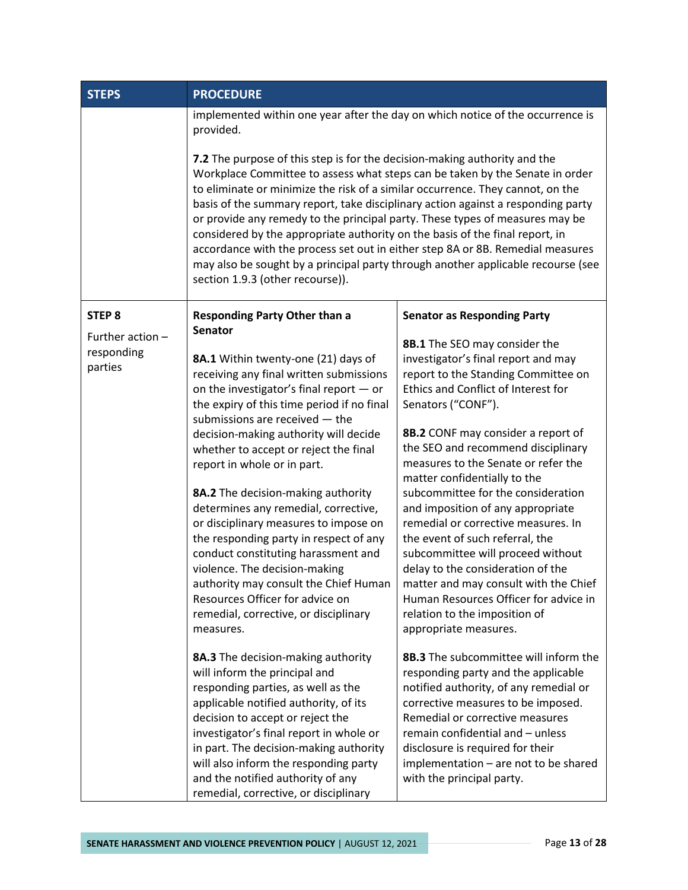| <b>STEPS</b>                              | <b>PROCEDURE</b>                                                                                                                                                                                                                                                                                                                                                                                                                                                                                                                                                                                                                                                                                          |                                                                                                                                                                                                                                                                                                                                                                                                                                                                                                                                                                                                                                                                                                        |  |
|-------------------------------------------|-----------------------------------------------------------------------------------------------------------------------------------------------------------------------------------------------------------------------------------------------------------------------------------------------------------------------------------------------------------------------------------------------------------------------------------------------------------------------------------------------------------------------------------------------------------------------------------------------------------------------------------------------------------------------------------------------------------|--------------------------------------------------------------------------------------------------------------------------------------------------------------------------------------------------------------------------------------------------------------------------------------------------------------------------------------------------------------------------------------------------------------------------------------------------------------------------------------------------------------------------------------------------------------------------------------------------------------------------------------------------------------------------------------------------------|--|
|                                           | implemented within one year after the day on which notice of the occurrence is<br>provided.                                                                                                                                                                                                                                                                                                                                                                                                                                                                                                                                                                                                               |                                                                                                                                                                                                                                                                                                                                                                                                                                                                                                                                                                                                                                                                                                        |  |
|                                           | 7.2 The purpose of this step is for the decision-making authority and the<br>Workplace Committee to assess what steps can be taken by the Senate in order<br>to eliminate or minimize the risk of a similar occurrence. They cannot, on the<br>basis of the summary report, take disciplinary action against a responding party<br>or provide any remedy to the principal party. These types of measures may be<br>considered by the appropriate authority on the basis of the final report, in<br>accordance with the process set out in either step 8A or 8B. Remedial measures<br>may also be sought by a principal party through another applicable recourse (see<br>section 1.9.3 (other recourse)). |                                                                                                                                                                                                                                                                                                                                                                                                                                                                                                                                                                                                                                                                                                        |  |
| STEP <sub>8</sub>                         | <b>Responding Party Other than a</b><br><b>Senator</b>                                                                                                                                                                                                                                                                                                                                                                                                                                                                                                                                                                                                                                                    | <b>Senator as Responding Party</b>                                                                                                                                                                                                                                                                                                                                                                                                                                                                                                                                                                                                                                                                     |  |
| Further action -<br>responding<br>parties | 8A.1 Within twenty-one (21) days of<br>receiving any final written submissions<br>on the investigator's final report $-$ or<br>the expiry of this time period if no final<br>submissions are received - the<br>decision-making authority will decide<br>whether to accept or reject the final<br>report in whole or in part.<br>8A.2 The decision-making authority<br>determines any remedial, corrective,<br>or disciplinary measures to impose on<br>the responding party in respect of any<br>conduct constituting harassment and<br>violence. The decision-making<br>authority may consult the Chief Human<br>Resources Officer for advice on<br>remedial, corrective, or disciplinary<br>measures.   | 8B.1 The SEO may consider the<br>investigator's final report and may<br>report to the Standing Committee on<br>Ethics and Conflict of Interest for<br>Senators ("CONF").<br>8B.2 CONF may consider a report of<br>the SEO and recommend disciplinary<br>measures to the Senate or refer the<br>matter confidentially to the<br>subcommittee for the consideration<br>and imposition of any appropriate<br>remedial or corrective measures. In<br>the event of such referral, the<br>subcommittee will proceed without<br>delay to the consideration of the<br>matter and may consult with the Chief<br>Human Resources Officer for advice in<br>relation to the imposition of<br>appropriate measures. |  |
|                                           | 8A.3 The decision-making authority<br>will inform the principal and<br>responding parties, as well as the<br>applicable notified authority, of its<br>decision to accept or reject the<br>investigator's final report in whole or<br>in part. The decision-making authority<br>will also inform the responding party<br>and the notified authority of any<br>remedial, corrective, or disciplinary                                                                                                                                                                                                                                                                                                        | 8B.3 The subcommittee will inform the<br>responding party and the applicable<br>notified authority, of any remedial or<br>corrective measures to be imposed.<br>Remedial or corrective measures<br>remain confidential and - unless<br>disclosure is required for their<br>implementation - are not to be shared<br>with the principal party.                                                                                                                                                                                                                                                                                                                                                          |  |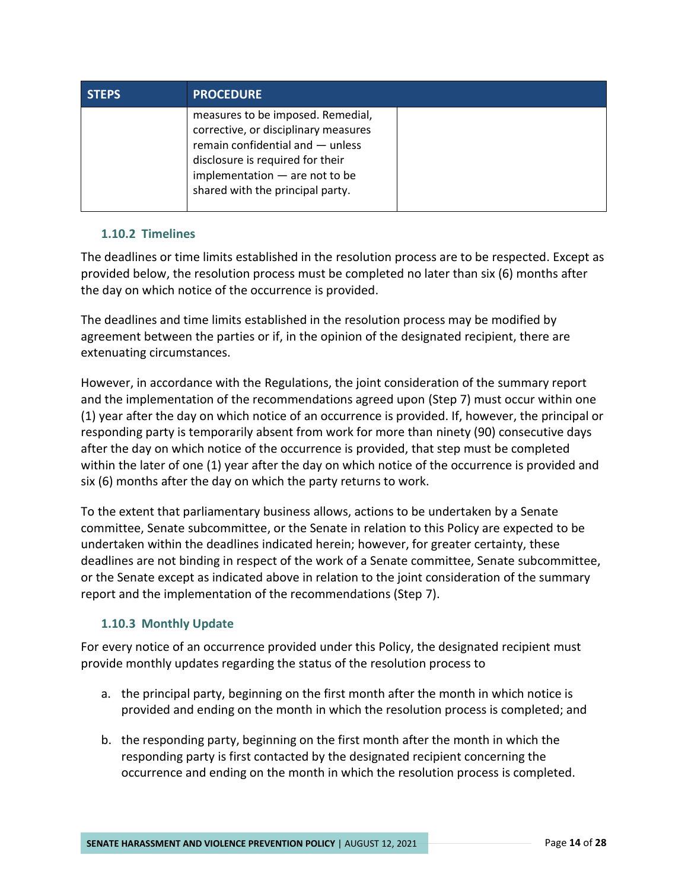| <b>STEPS</b> | <b>PROCEDURE</b>                                                                                                                                                                                                            |  |
|--------------|-----------------------------------------------------------------------------------------------------------------------------------------------------------------------------------------------------------------------------|--|
|              | measures to be imposed. Remedial,<br>corrective, or disciplinary measures<br>remain confidential and $-$ unless<br>disclosure is required for their<br>implementation $-$ are not to be<br>shared with the principal party. |  |

## <span id="page-16-0"></span>**1.10.2 Timelines**

The deadlines or time limits established in the resolution process are to be respected. Except as provided below, the resolution process must be completed no later than six (6) months after the day on which notice of the occurrence is provided.

The deadlines and time limits established in the resolution process may be modified by agreement between the parties or if, in the opinion of the designated recipient, there are extenuating circumstances.

However, in accordance with the Regulations, the joint consideration of the summary report and the implementation of the recommendations agreed upon (Step 7) must occur within one (1) year after the day on which notice of an occurrence is provided. If, however, the principal or responding party is temporarily absent from work for more than ninety (90) consecutive days after the day on which notice of the occurrence is provided, that step must be completed within the later of one (1) year after the day on which notice of the occurrence is provided and six (6) months after the day on which the party returns to work.

To the extent that parliamentary business allows, actions to be undertaken by a Senate committee, Senate subcommittee, or the Senate in relation to this Policy are expected to be undertaken within the deadlines indicated herein; however, for greater certainty, these deadlines are not binding in respect of the work of a Senate committee, Senate subcommittee, or the Senate except as indicated above in relation to the joint consideration of the summary report and the implementation of the recommendations (Step 7).

# <span id="page-16-1"></span>**1.10.3 Monthly Update**

For every notice of an occurrence provided under this Policy, the designated recipient must provide monthly updates regarding the status of the resolution process to

- a. the principal party, beginning on the first month after the month in which notice is provided and ending on the month in which the resolution process is completed; and
- b. the responding party, beginning on the first month after the month in which the responding party is first contacted by the designated recipient concerning the occurrence and ending on the month in which the resolution process is completed.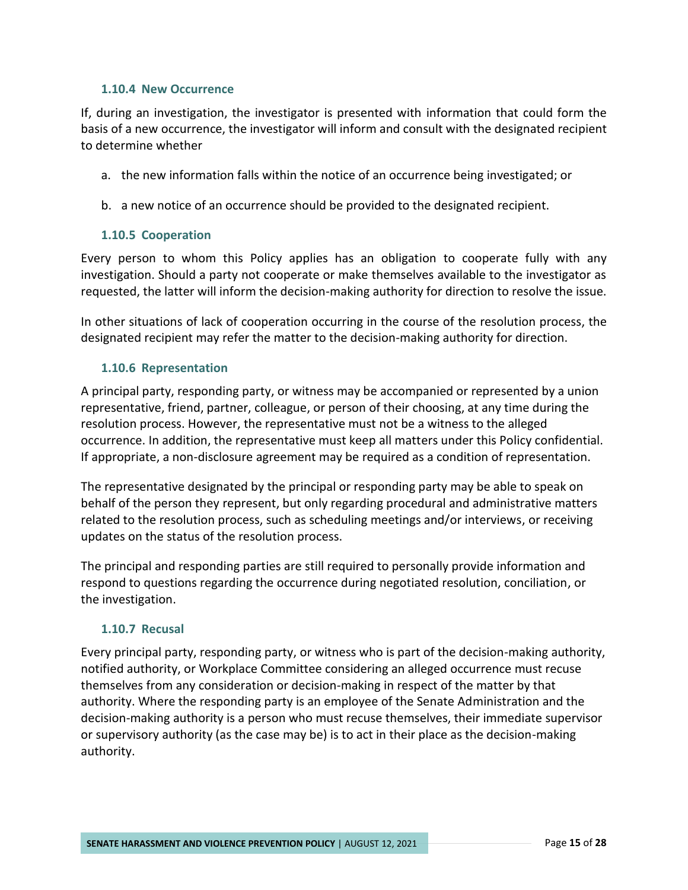#### <span id="page-17-0"></span>**1.10.4 New Occurrence**

If, during an investigation, the investigator is presented with information that could form the basis of a new occurrence, the investigator will inform and consult with the designated recipient to determine whether

- a. the new information falls within the notice of an occurrence being investigated; or
- b. a new notice of an occurrence should be provided to the designated recipient.

#### <span id="page-17-1"></span>**1.10.5 Cooperation**

Every person to whom this Policy applies has an obligation to cooperate fully with any investigation. Should a party not cooperate or make themselves available to the investigator as requested, the latter will inform the decision-making authority for direction to resolve the issue.

In other situations of lack of cooperation occurring in the course of the resolution process, the designated recipient may refer the matter to the decision-making authority for direction.

#### <span id="page-17-2"></span>**1.10.6 Representation**

A principal party, responding party, or witness may be accompanied or represented by a union representative, friend, partner, colleague, or person of their choosing, at any time during the resolution process. However, the representative must not be a witness to the alleged occurrence. In addition, the representative must keep all matters under this Policy confidential. If appropriate, a non-disclosure agreement may be required as a condition of representation.

The representative designated by the principal or responding party may be able to speak on behalf of the person they represent, but only regarding procedural and administrative matters related to the resolution process, such as scheduling meetings and/or interviews, or receiving updates on the status of the resolution process.

The principal and responding parties are still required to personally provide information and respond to questions regarding the occurrence during negotiated resolution, conciliation, or the investigation.

#### <span id="page-17-3"></span>**1.10.7 Recusal**

Every principal party, responding party, or witness who is part of the decision-making authority, notified authority, or Workplace Committee considering an alleged occurrence must recuse themselves from any consideration or decision-making in respect of the matter by that authority. Where the responding party is an employee of the Senate Administration and the decision-making authority is a person who must recuse themselves, their immediate supervisor or supervisory authority (as the case may be) is to act in their place as the decision-making authority.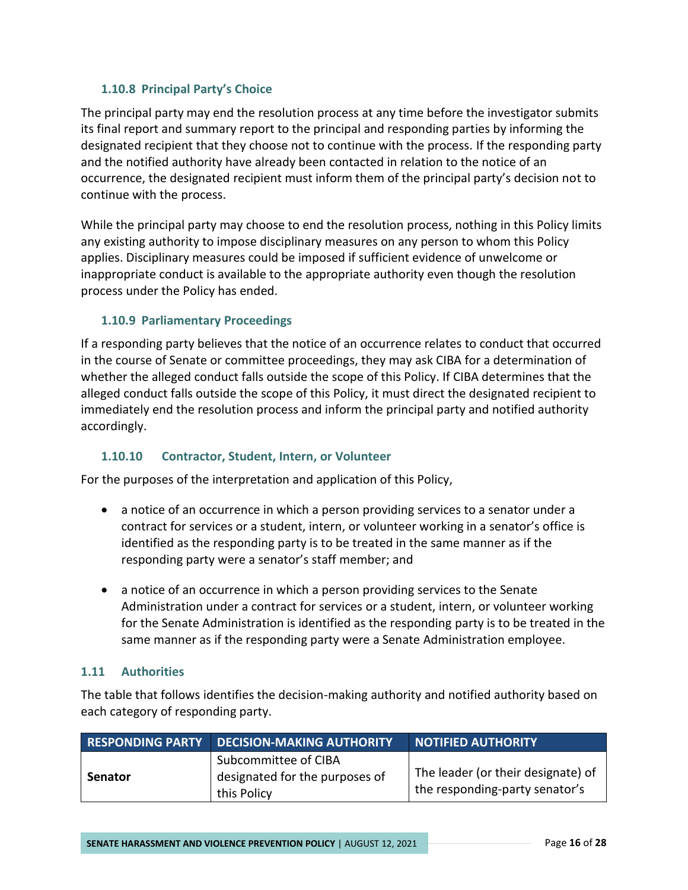## <span id="page-18-0"></span>**1.10.8 Principal Party's Choice**

The principal party may end the resolution process at any time before the investigator submits its final report and summary report to the principal and responding parties by informing the designated recipient that they choose not to continue with the process. If the responding party and the notified authority have already been contacted in relation to the notice of an occurrence, the designated recipient must inform them of the principal party's decision not to continue with the process.

While the principal party may choose to end the resolution process, nothing in this Policy limits any existing authority to impose disciplinary measures on any person to whom this Policy applies. Disciplinary measures could be imposed if sufficient evidence of unwelcome or inappropriate conduct is available to the appropriate authority even though the resolution process under the Policy has ended.

## <span id="page-18-1"></span>**1.10.9 Parliamentary Proceedings**

If a responding party believes that the notice of an occurrence relates to conduct that occurred in the course of Senate or committee proceedings, they may ask CIBA for a determination of whether the alleged conduct falls outside the scope of this Policy. If CIBA determines that the alleged conduct falls outside the scope of this Policy, it must direct the designated recipient to immediately end the resolution process and inform the principal party and notified authority accordingly.

# <span id="page-18-2"></span>**1.10.10 Contractor, Student, Intern, or Volunteer**

For the purposes of the interpretation and application of this Policy,

- a notice of an occurrence in which a person providing services to a senator under a contract for services or a student, intern, or volunteer working in a senator's office is identified as the responding party is to be treated in the same manner as if the responding party were a senator's staff member; and
- a notice of an occurrence in which a person providing services to the Senate Administration under a contract for services or a student, intern, or volunteer working for the Senate Administration is identified as the responding party is to be treated in the same manner as if the responding party were a Senate Administration employee.

#### <span id="page-18-3"></span>**1.11 Authorities**

The table that follows identifies the decision-making authority and notified authority based on each category of responding party.

|                | <b>RESPONDING PARTY DECISION-MAKING AUTHORITY</b>                     | NOTIFIED AUTHORITY                                                   |
|----------------|-----------------------------------------------------------------------|----------------------------------------------------------------------|
| <b>Senator</b> | Subcommittee of CIBA<br>designated for the purposes of<br>this Policy | The leader (or their designate) of<br>the responding-party senator's |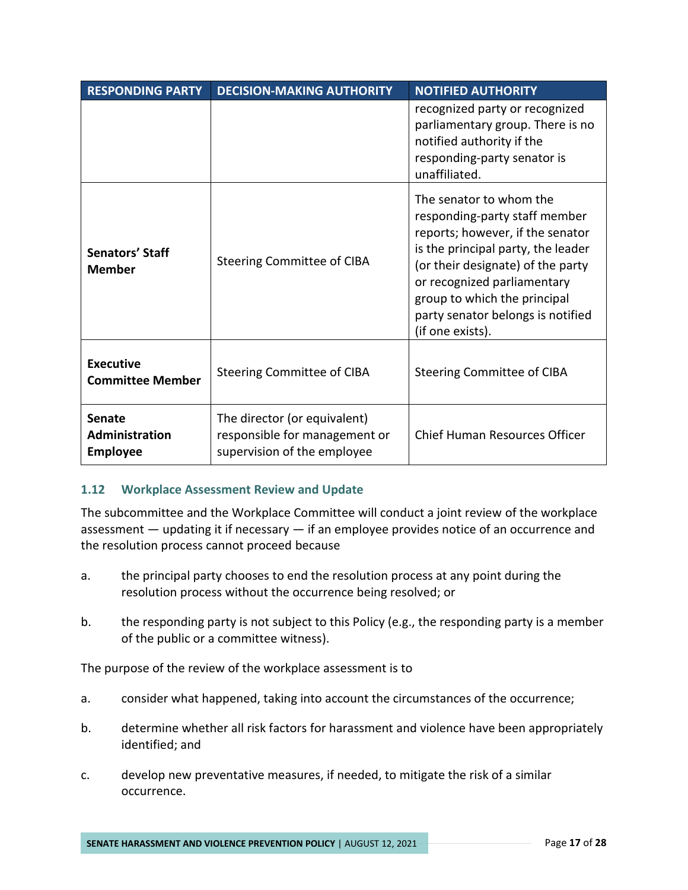| <b>RESPONDING PARTY</b>                            | <b>DECISION-MAKING AUTHORITY</b>                                                             | <b>NOTIFIED AUTHORITY</b>                                                                                                                                                                                                                                                                       |
|----------------------------------------------------|----------------------------------------------------------------------------------------------|-------------------------------------------------------------------------------------------------------------------------------------------------------------------------------------------------------------------------------------------------------------------------------------------------|
|                                                    |                                                                                              | recognized party or recognized<br>parliamentary group. There is no<br>notified authority if the<br>responding-party senator is<br>unaffiliated.                                                                                                                                                 |
| <b>Senators' Staff</b><br><b>Member</b>            | Steering Committee of CIBA                                                                   | The senator to whom the<br>responding-party staff member<br>reports; however, if the senator<br>is the principal party, the leader<br>(or their designate) of the party<br>or recognized parliamentary<br>group to which the principal<br>party senator belongs is notified<br>(if one exists). |
| <b>Executive</b><br><b>Committee Member</b>        | <b>Steering Committee of CIBA</b>                                                            | Steering Committee of CIBA                                                                                                                                                                                                                                                                      |
| <b>Senate</b><br>Administration<br><b>Employee</b> | The director (or equivalent)<br>responsible for management or<br>supervision of the employee | Chief Human Resources Officer                                                                                                                                                                                                                                                                   |

#### <span id="page-19-0"></span>**1.12 Workplace Assessment Review and Update**

The subcommittee and the Workplace Committee will conduct a joint review of the workplace assessment — updating it if necessary — if an employee provides notice of an occurrence and the resolution process cannot proceed because

- a. the principal party chooses to end the resolution process at any point during the resolution process without the occurrence being resolved; or
- b. the responding party is not subject to this Policy (e.g., the responding party is a member of the public or a committee witness).

The purpose of the review of the workplace assessment is to

- a. consider what happened, taking into account the circumstances of the occurrence;
- b. determine whether all risk factors for harassment and violence have been appropriately identified; and
- c. develop new preventative measures, if needed, to mitigate the risk of a similar occurrence.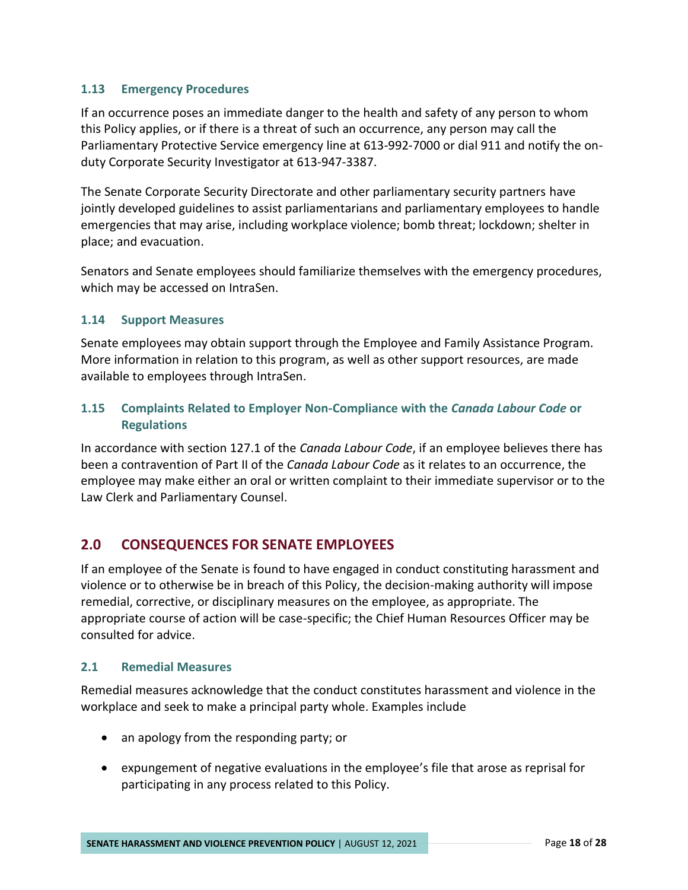#### <span id="page-20-0"></span>**1.13 Emergency Procedures**

If an occurrence poses an immediate danger to the health and safety of any person to whom this Policy applies, or if there is a threat of such an occurrence, any person may call the Parliamentary Protective Service emergency line at 613-992-7000 or dial 911 and notify the onduty Corporate Security Investigator at 613-947-3387.

The Senate Corporate Security Directorate and other parliamentary security partners have jointly developed guidelines to assist parliamentarians and parliamentary employees to handle emergencies that may arise, including workplace violence; bomb threat; lockdown; shelter in place; and evacuation.

Senators and Senate employees should familiarize themselves with the emergency procedures, which may be accessed on IntraSen.

#### <span id="page-20-1"></span>**1.14 Support Measures**

Senate employees may obtain support through the Employee and Family Assistance Program. More information in relation to this program, as well as other support resources, are made available to employees through IntraSen.

# <span id="page-20-2"></span>**1.15 Complaints Related to Employer Non-Compliance with the** *Canada Labour Code* **or Regulations**

In accordance with section 127.1 of the *Canada Labour Code*, if an employee believes there has been a contravention of Part II of the *Canada Labour Code* as it relates to an occurrence, the employee may make either an oral or written complaint to their immediate supervisor or to the Law Clerk and Parliamentary Counsel.

# <span id="page-20-3"></span>**2.0 CONSEQUENCES FOR SENATE EMPLOYEES**

If an employee of the Senate is found to have engaged in conduct constituting harassment and violence or to otherwise be in breach of this Policy, the decision-making authority will impose remedial, corrective, or disciplinary measures on the employee, as appropriate. The appropriate course of action will be case-specific; the Chief Human Resources Officer may be consulted for advice.

#### <span id="page-20-4"></span>**2.1 Remedial Measures**

Remedial measures acknowledge that the conduct constitutes harassment and violence in the workplace and seek to make a principal party whole. Examples include

- an apology from the responding party; or
- expungement of negative evaluations in the employee's file that arose as reprisal for participating in any process related to this Policy.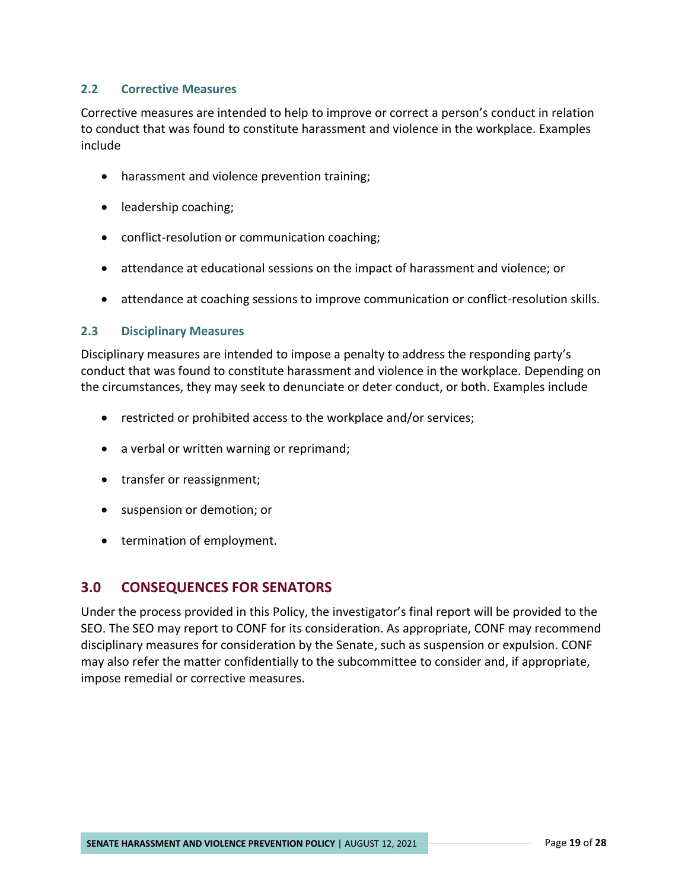#### <span id="page-21-0"></span>**2.2 Corrective Measures**

Corrective measures are intended to help to improve or correct a person's conduct in relation to conduct that was found to constitute harassment and violence in the workplace. Examples include

- harassment and violence prevention training;
- leadership coaching;
- conflict-resolution or communication coaching;
- attendance at educational sessions on the impact of harassment and violence; or
- attendance at coaching sessions to improve communication or conflict-resolution skills.

#### <span id="page-21-1"></span>**2.3 Disciplinary Measures**

Disciplinary measures are intended to impose a penalty to address the responding party's conduct that was found to constitute harassment and violence in the workplace. Depending on the circumstances, they may seek to denunciate or deter conduct, or both. Examples include

- restricted or prohibited access to the workplace and/or services;
- a verbal or written warning or reprimand;
- transfer or reassignment;
- suspension or demotion; or
- termination of employment.

# <span id="page-21-2"></span>**3.0 CONSEQUENCES FOR SENATORS**

Under the process provided in this Policy, the investigator's final report will be provided to the SEO. The SEO may report to CONF for its consideration. As appropriate, CONF may recommend disciplinary measures for consideration by the Senate, such as suspension or expulsion. CONF may also refer the matter confidentially to the subcommittee to consider and, if appropriate, impose remedial or corrective measures.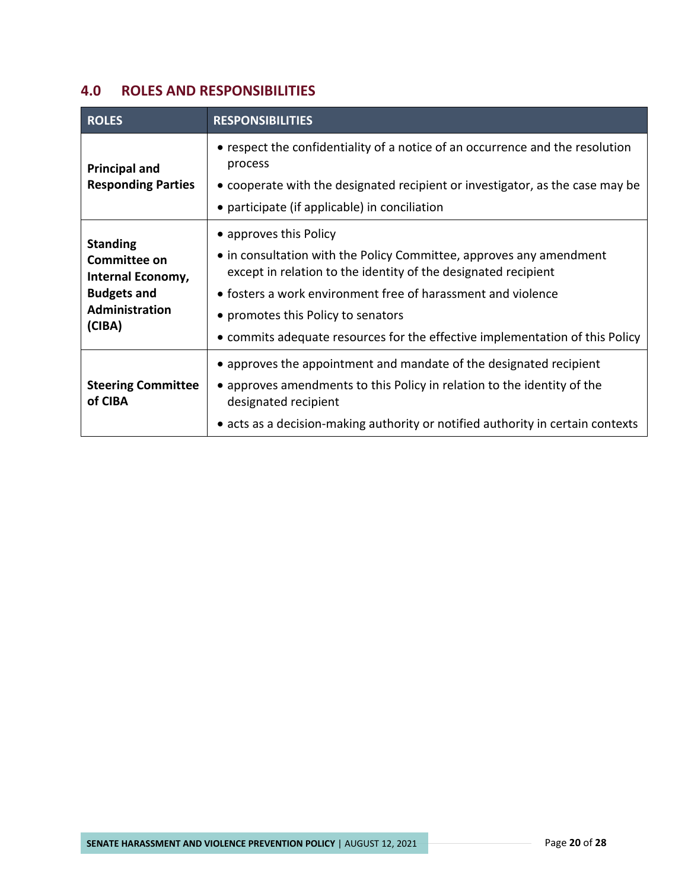# <span id="page-22-0"></span>**4.0 ROLES AND RESPONSIBILITIES**

| <b>ROLES</b>                                                                                                                                                                                                                                                                                                                                                                                                                                                    | <b>RESPONSIBILITIES</b>                                                                                                                                                                                                                                  |
|-----------------------------------------------------------------------------------------------------------------------------------------------------------------------------------------------------------------------------------------------------------------------------------------------------------------------------------------------------------------------------------------------------------------------------------------------------------------|----------------------------------------------------------------------------------------------------------------------------------------------------------------------------------------------------------------------------------------------------------|
| <b>Principal and</b><br><b>Responding Parties</b>                                                                                                                                                                                                                                                                                                                                                                                                               | • respect the confidentiality of a notice of an occurrence and the resolution<br>process<br>• cooperate with the designated recipient or investigator, as the case may be<br>• participate (if applicable) in conciliation                               |
| • approves this Policy<br><b>Standing</b><br>• in consultation with the Policy Committee, approves any amendment<br>Committee on<br>except in relation to the identity of the designated recipient<br>Internal Economy,<br><b>Budgets and</b><br>• fosters a work environment free of harassment and violence<br>Administration<br>• promotes this Policy to senators<br>(CIBA)<br>• commits adequate resources for the effective implementation of this Policy |                                                                                                                                                                                                                                                          |
| <b>Steering Committee</b><br>of CIBA                                                                                                                                                                                                                                                                                                                                                                                                                            | • approves the appointment and mandate of the designated recipient<br>• approves amendments to this Policy in relation to the identity of the<br>designated recipient<br>• acts as a decision-making authority or notified authority in certain contexts |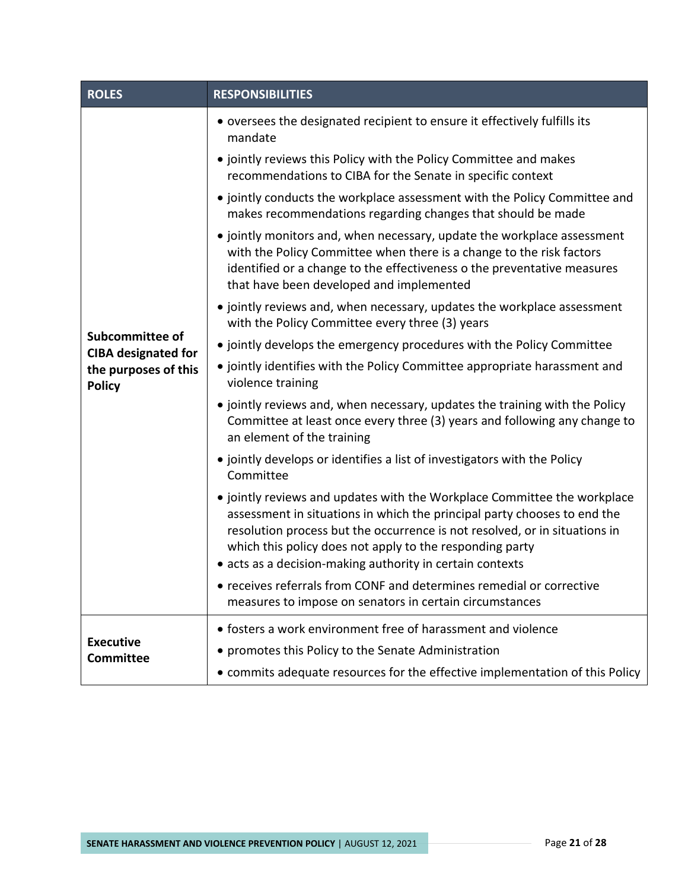| <b>ROLES</b>                                                                           | <b>RESPONSIBILITIES</b>                                                                                                                                                                                                                                                                                                                                     |  |
|----------------------------------------------------------------------------------------|-------------------------------------------------------------------------------------------------------------------------------------------------------------------------------------------------------------------------------------------------------------------------------------------------------------------------------------------------------------|--|
| Subcommittee of<br><b>CIBA designated for</b><br>the purposes of this<br><b>Policy</b> | • oversees the designated recipient to ensure it effectively fulfills its<br>mandate                                                                                                                                                                                                                                                                        |  |
|                                                                                        | • jointly reviews this Policy with the Policy Committee and makes<br>recommendations to CIBA for the Senate in specific context                                                                                                                                                                                                                             |  |
|                                                                                        | • jointly conducts the workplace assessment with the Policy Committee and<br>makes recommendations regarding changes that should be made                                                                                                                                                                                                                    |  |
|                                                                                        | • jointly monitors and, when necessary, update the workplace assessment<br>with the Policy Committee when there is a change to the risk factors<br>identified or a change to the effectiveness o the preventative measures<br>that have been developed and implemented                                                                                      |  |
|                                                                                        | • jointly reviews and, when necessary, updates the workplace assessment<br>with the Policy Committee every three (3) years                                                                                                                                                                                                                                  |  |
|                                                                                        | • jointly develops the emergency procedures with the Policy Committee                                                                                                                                                                                                                                                                                       |  |
|                                                                                        | • jointly identifies with the Policy Committee appropriate harassment and<br>violence training                                                                                                                                                                                                                                                              |  |
|                                                                                        | • jointly reviews and, when necessary, updates the training with the Policy<br>Committee at least once every three (3) years and following any change to<br>an element of the training                                                                                                                                                                      |  |
|                                                                                        | • jointly develops or identifies a list of investigators with the Policy<br>Committee                                                                                                                                                                                                                                                                       |  |
|                                                                                        | • jointly reviews and updates with the Workplace Committee the workplace<br>assessment in situations in which the principal party chooses to end the<br>resolution process but the occurrence is not resolved, or in situations in<br>which this policy does not apply to the responding party<br>• acts as a decision-making authority in certain contexts |  |
|                                                                                        | • receives referrals from CONF and determines remedial or corrective<br>measures to impose on senators in certain circumstances                                                                                                                                                                                                                             |  |
|                                                                                        | • fosters a work environment free of harassment and violence                                                                                                                                                                                                                                                                                                |  |
| <b>Executive</b><br><b>Committee</b>                                                   | • promotes this Policy to the Senate Administration                                                                                                                                                                                                                                                                                                         |  |
|                                                                                        | • commits adequate resources for the effective implementation of this Policy                                                                                                                                                                                                                                                                                |  |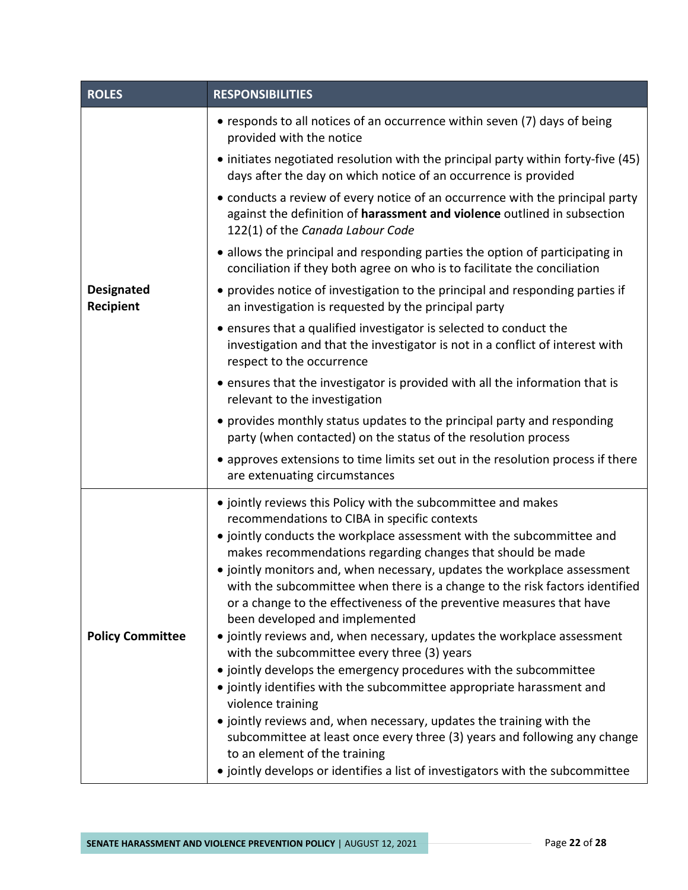| <b>ROLES</b>                   | <b>RESPONSIBILITIES</b>                                                                                                                                                                                                                                                                                                                                                                                                                                                                                                                                                                                                                                                                                                                                                                                                                                                                                                                                                                                                                                                                          |  |
|--------------------------------|--------------------------------------------------------------------------------------------------------------------------------------------------------------------------------------------------------------------------------------------------------------------------------------------------------------------------------------------------------------------------------------------------------------------------------------------------------------------------------------------------------------------------------------------------------------------------------------------------------------------------------------------------------------------------------------------------------------------------------------------------------------------------------------------------------------------------------------------------------------------------------------------------------------------------------------------------------------------------------------------------------------------------------------------------------------------------------------------------|--|
| <b>Designated</b><br>Recipient | • responds to all notices of an occurrence within seven (7) days of being<br>provided with the notice                                                                                                                                                                                                                                                                                                                                                                                                                                                                                                                                                                                                                                                                                                                                                                                                                                                                                                                                                                                            |  |
|                                | • initiates negotiated resolution with the principal party within forty-five (45)<br>days after the day on which notice of an occurrence is provided                                                                                                                                                                                                                                                                                                                                                                                                                                                                                                                                                                                                                                                                                                                                                                                                                                                                                                                                             |  |
|                                | • conducts a review of every notice of an occurrence with the principal party<br>against the definition of harassment and violence outlined in subsection<br>122(1) of the Canada Labour Code                                                                                                                                                                                                                                                                                                                                                                                                                                                                                                                                                                                                                                                                                                                                                                                                                                                                                                    |  |
|                                | • allows the principal and responding parties the option of participating in<br>conciliation if they both agree on who is to facilitate the conciliation                                                                                                                                                                                                                                                                                                                                                                                                                                                                                                                                                                                                                                                                                                                                                                                                                                                                                                                                         |  |
|                                | • provides notice of investigation to the principal and responding parties if<br>an investigation is requested by the principal party                                                                                                                                                                                                                                                                                                                                                                                                                                                                                                                                                                                                                                                                                                                                                                                                                                                                                                                                                            |  |
|                                | • ensures that a qualified investigator is selected to conduct the<br>investigation and that the investigator is not in a conflict of interest with<br>respect to the occurrence                                                                                                                                                                                                                                                                                                                                                                                                                                                                                                                                                                                                                                                                                                                                                                                                                                                                                                                 |  |
|                                | • ensures that the investigator is provided with all the information that is<br>relevant to the investigation                                                                                                                                                                                                                                                                                                                                                                                                                                                                                                                                                                                                                                                                                                                                                                                                                                                                                                                                                                                    |  |
|                                | • provides monthly status updates to the principal party and responding<br>party (when contacted) on the status of the resolution process                                                                                                                                                                                                                                                                                                                                                                                                                                                                                                                                                                                                                                                                                                                                                                                                                                                                                                                                                        |  |
|                                | • approves extensions to time limits set out in the resolution process if there<br>are extenuating circumstances                                                                                                                                                                                                                                                                                                                                                                                                                                                                                                                                                                                                                                                                                                                                                                                                                                                                                                                                                                                 |  |
| <b>Policy Committee</b>        | • jointly reviews this Policy with the subcommittee and makes<br>recommendations to CIBA in specific contexts<br>· jointly conducts the workplace assessment with the subcommittee and<br>makes recommendations regarding changes that should be made<br>• jointly monitors and, when necessary, updates the workplace assessment<br>with the subcommittee when there is a change to the risk factors identified<br>or a change to the effectiveness of the preventive measures that have<br>been developed and implemented<br>• jointly reviews and, when necessary, updates the workplace assessment<br>with the subcommittee every three (3) years<br>• jointly develops the emergency procedures with the subcommittee<br>• jointly identifies with the subcommittee appropriate harassment and<br>violence training<br>· jointly reviews and, when necessary, updates the training with the<br>subcommittee at least once every three (3) years and following any change<br>to an element of the training<br>· jointly develops or identifies a list of investigators with the subcommittee |  |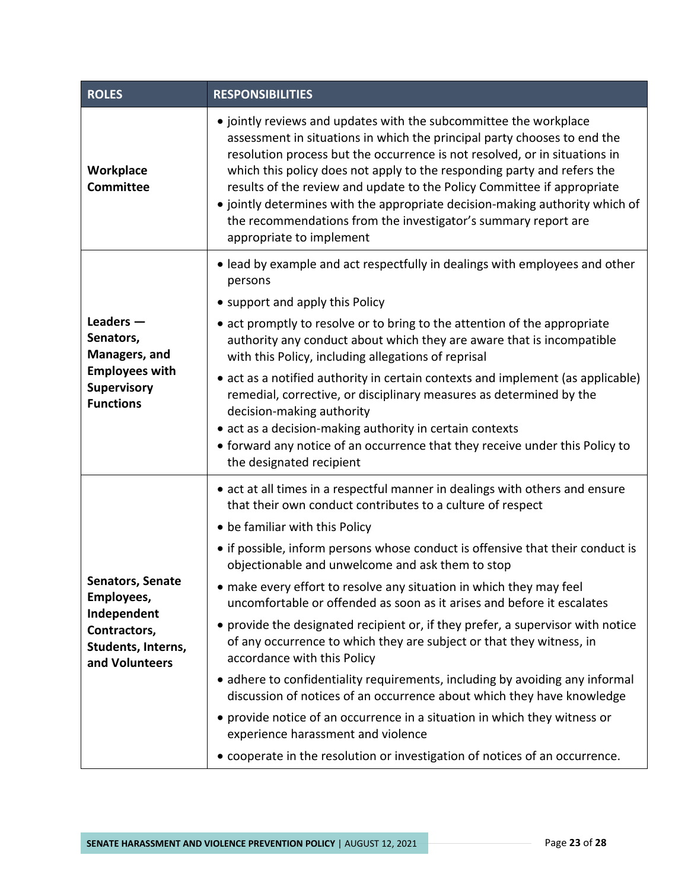| <b>ROLES</b>                                                                                                 | <b>RESPONSIBILITIES</b>                                                                                                                                                                                                                                                                                                                                                                                                                                                                                                                                                                                                                                                                                                                                                                                                 |  |
|--------------------------------------------------------------------------------------------------------------|-------------------------------------------------------------------------------------------------------------------------------------------------------------------------------------------------------------------------------------------------------------------------------------------------------------------------------------------------------------------------------------------------------------------------------------------------------------------------------------------------------------------------------------------------------------------------------------------------------------------------------------------------------------------------------------------------------------------------------------------------------------------------------------------------------------------------|--|
| Workplace<br>Committee                                                                                       | • jointly reviews and updates with the subcommittee the workplace<br>assessment in situations in which the principal party chooses to end the<br>resolution process but the occurrence is not resolved, or in situations in<br>which this policy does not apply to the responding party and refers the<br>results of the review and update to the Policy Committee if appropriate<br>• jointly determines with the appropriate decision-making authority which of<br>the recommendations from the investigator's summary report are<br>appropriate to implement                                                                                                                                                                                                                                                         |  |
| Leaders $-$<br>Senators,<br>Managers, and<br><b>Employees with</b><br><b>Supervisory</b><br><b>Functions</b> | • lead by example and act respectfully in dealings with employees and other<br>persons<br>• support and apply this Policy<br>• act promptly to resolve or to bring to the attention of the appropriate<br>authority any conduct about which they are aware that is incompatible<br>with this Policy, including allegations of reprisal<br>• act as a notified authority in certain contexts and implement (as applicable)<br>remedial, corrective, or disciplinary measures as determined by the                                                                                                                                                                                                                                                                                                                        |  |
|                                                                                                              | decision-making authority<br>• act as a decision-making authority in certain contexts<br>• forward any notice of an occurrence that they receive under this Policy to<br>the designated recipient                                                                                                                                                                                                                                                                                                                                                                                                                                                                                                                                                                                                                       |  |
| <b>Senators, Senate</b><br>Employees,<br>Independent<br>Contractors,<br>Students, Interns,<br>and Volunteers | • act at all times in a respectful manner in dealings with others and ensure<br>that their own conduct contributes to a culture of respect<br>• be familiar with this Policy<br>• if possible, inform persons whose conduct is offensive that their conduct is<br>objectionable and unwelcome and ask them to stop<br>• make every effort to resolve any situation in which they may feel<br>uncomfortable or offended as soon as it arises and before it escalates<br>• provide the designated recipient or, if they prefer, a supervisor with notice<br>of any occurrence to which they are subject or that they witness, in<br>accordance with this Policy<br>• adhere to confidentiality requirements, including by avoiding any informal<br>discussion of notices of an occurrence about which they have knowledge |  |
|                                                                                                              | • provide notice of an occurrence in a situation in which they witness or<br>experience harassment and violence<br>• cooperate in the resolution or investigation of notices of an occurrence.                                                                                                                                                                                                                                                                                                                                                                                                                                                                                                                                                                                                                          |  |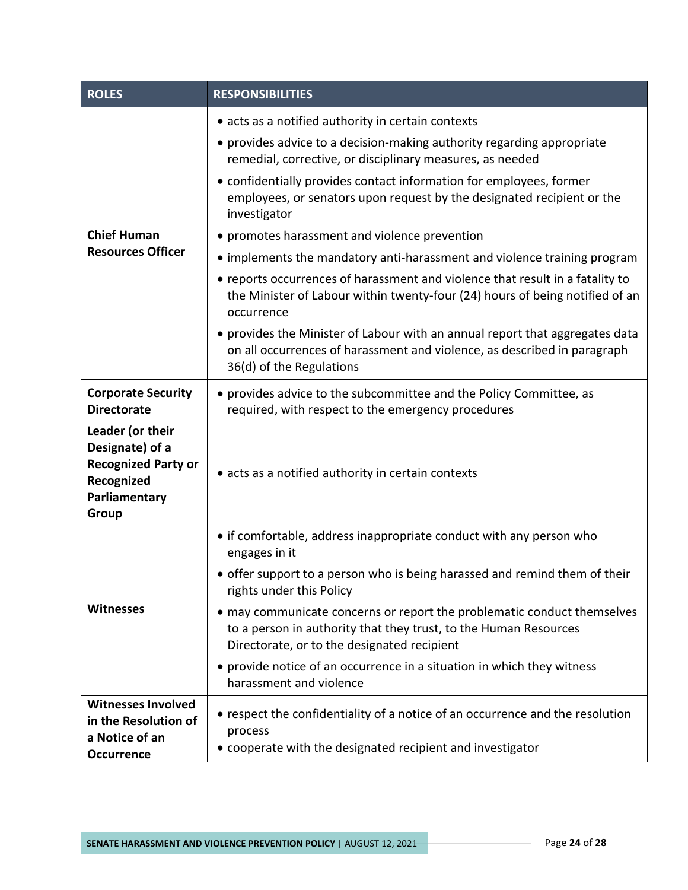| <b>ROLES</b>                                                                                              | <b>RESPONSIBILITIES</b>                                                                                                                                                                    |  |
|-----------------------------------------------------------------------------------------------------------|--------------------------------------------------------------------------------------------------------------------------------------------------------------------------------------------|--|
|                                                                                                           | • acts as a notified authority in certain contexts                                                                                                                                         |  |
|                                                                                                           | • provides advice to a decision-making authority regarding appropriate<br>remedial, corrective, or disciplinary measures, as needed                                                        |  |
|                                                                                                           | • confidentially provides contact information for employees, former<br>employees, or senators upon request by the designated recipient or the<br>investigator                              |  |
| <b>Chief Human</b>                                                                                        | • promotes harassment and violence prevention                                                                                                                                              |  |
| <b>Resources Officer</b>                                                                                  | • implements the mandatory anti-harassment and violence training program                                                                                                                   |  |
|                                                                                                           | • reports occurrences of harassment and violence that result in a fatality to<br>the Minister of Labour within twenty-four (24) hours of being notified of an<br>occurrence                |  |
|                                                                                                           | • provides the Minister of Labour with an annual report that aggregates data<br>on all occurrences of harassment and violence, as described in paragraph<br>36(d) of the Regulations       |  |
| <b>Corporate Security</b><br><b>Directorate</b>                                                           | • provides advice to the subcommittee and the Policy Committee, as<br>required, with respect to the emergency procedures                                                                   |  |
| Leader (or their<br>Designate) of a<br><b>Recognized Party or</b><br>Recognized<br>Parliamentary<br>Group | • acts as a notified authority in certain contexts                                                                                                                                         |  |
| <b>Witnesses</b>                                                                                          | • if comfortable, address inappropriate conduct with any person who<br>engages in it                                                                                                       |  |
|                                                                                                           | • offer support to a person who is being harassed and remind them of their<br>rights under this Policy                                                                                     |  |
|                                                                                                           | • may communicate concerns or report the problematic conduct themselves<br>to a person in authority that they trust, to the Human Resources<br>Directorate, or to the designated recipient |  |
|                                                                                                           | • provide notice of an occurrence in a situation in which they witness<br>harassment and violence                                                                                          |  |
| <b>Witnesses Involved</b>                                                                                 | • respect the confidentiality of a notice of an occurrence and the resolution                                                                                                              |  |
| in the Resolution of<br>a Notice of an                                                                    | process                                                                                                                                                                                    |  |
| <b>Occurrence</b>                                                                                         | • cooperate with the designated recipient and investigator                                                                                                                                 |  |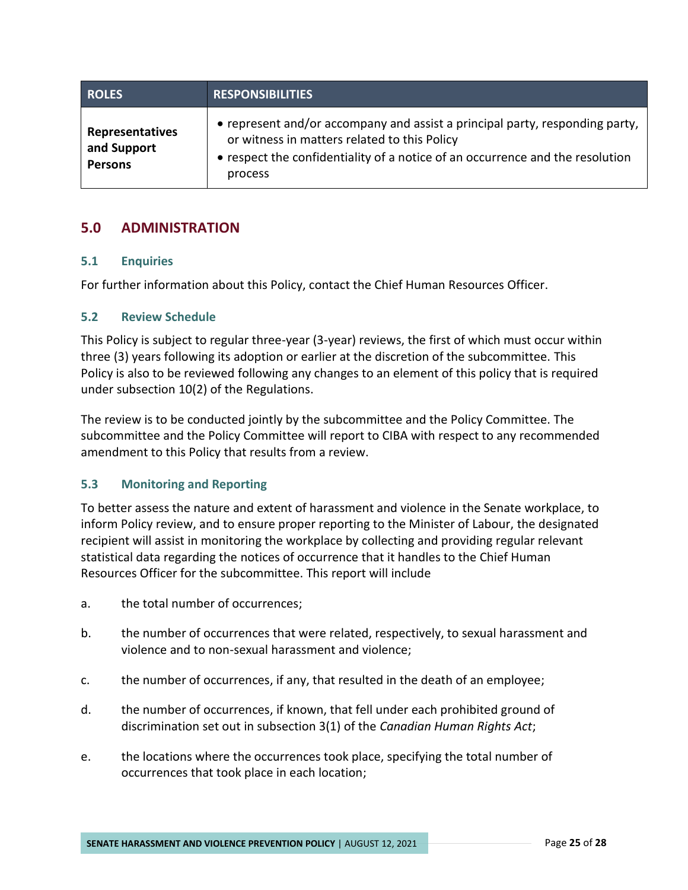| <b>ROLES</b>                                     | <b>RESPONSIBILITIES</b>                                                                                                                                                                                                  |
|--------------------------------------------------|--------------------------------------------------------------------------------------------------------------------------------------------------------------------------------------------------------------------------|
| Representatives<br>and Support<br><b>Persons</b> | • represent and/or accompany and assist a principal party, responding party,<br>or witness in matters related to this Policy<br>• respect the confidentiality of a notice of an occurrence and the resolution<br>process |

# <span id="page-27-0"></span>**5.0 ADMINISTRATION**

#### <span id="page-27-1"></span>**5.1 Enquiries**

For further information about this Policy, contact the Chief Human Resources Officer.

#### <span id="page-27-2"></span>**5.2 Review Schedule**

This Policy is subject to regular three-year (3-year) reviews, the first of which must occur within three (3) years following its adoption or earlier at the discretion of the subcommittee. This Policy is also to be reviewed following any changes to an element of this policy that is required under subsection 10(2) of the Regulations.

The review is to be conducted jointly by the subcommittee and the Policy Committee. The subcommittee and the Policy Committee will report to CIBA with respect to any recommended amendment to this Policy that results from a review.

#### <span id="page-27-3"></span>**5.3 Monitoring and Reporting**

To better assess the nature and extent of harassment and violence in the Senate workplace, to inform Policy review, and to ensure proper reporting to the Minister of Labour, the designated recipient will assist in monitoring the workplace by collecting and providing regular relevant statistical data regarding the notices of occurrence that it handles to the Chief Human Resources Officer for the subcommittee. This report will include

- a. the total number of occurrences;
- b. the number of occurrences that were related, respectively, to sexual harassment and violence and to non-sexual harassment and violence;
- c. the number of occurrences, if any, that resulted in the death of an employee;
- d. the number of occurrences, if known, that fell under each prohibited ground of discrimination set out in subsection 3(1) of the *Canadian Human Rights Act*;
- e. the locations where the occurrences took place, specifying the total number of occurrences that took place in each location;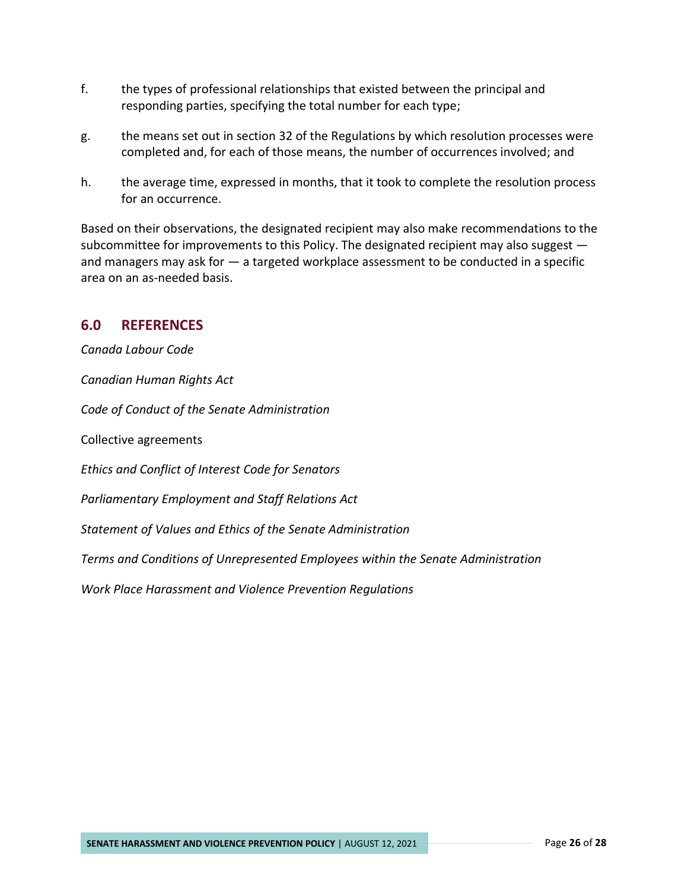- f. the types of professional relationships that existed between the principal and responding parties, specifying the total number for each type;
- g. the means set out in section 32 of the Regulations by which resolution processes were completed and, for each of those means, the number of occurrences involved; and
- h. the average time, expressed in months, that it took to complete the resolution process for an occurrence.

Based on their observations, the designated recipient may also make recommendations to the subcommittee for improvements to this Policy. The designated recipient may also suggest and managers may ask for — a targeted workplace assessment to be conducted in a specific area on an as-needed basis.

# <span id="page-28-0"></span>**6.0 REFERENCES**

*Canada Labour Code*

*Canadian Human Rights Act*

*Code of Conduct of the Senate Administration*

Collective agreements

*Ethics and Conflict of Interest Code for Senators*

*Parliamentary Employment and Staff Relations Act*

*Statement of Values and Ethics of the Senate Administration*

*Terms and Conditions of Unrepresented Employees within the Senate Administration*

*Work Place Harassment and Violence Prevention Regulations*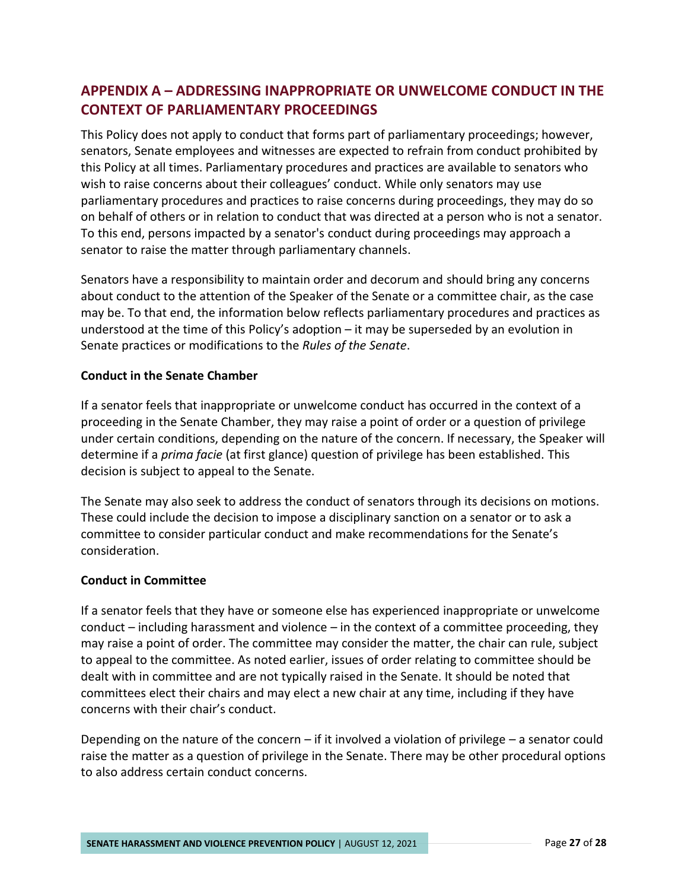# <span id="page-29-0"></span>**APPENDIX A – ADDRESSING INAPPROPRIATE OR UNWELCOME CONDUCT IN THE CONTEXT OF PARLIAMENTARY PROCEEDINGS**

This Policy does not apply to conduct that forms part of parliamentary proceedings; however, senators, Senate employees and witnesses are expected to refrain from conduct prohibited by this Policy at all times. Parliamentary procedures and practices are available to senators who wish to raise concerns about their colleagues' conduct. While only senators may use parliamentary procedures and practices to raise concerns during proceedings, they may do so on behalf of others or in relation to conduct that was directed at a person who is not a senator. To this end, persons impacted by a senator's conduct during proceedings may approach a senator to raise the matter through parliamentary channels.

Senators have a responsibility to maintain order and decorum and should bring any concerns about conduct to the attention of the Speaker of the Senate or a committee chair, as the case may be. To that end, the information below reflects parliamentary procedures and practices as understood at the time of this Policy's adoption – it may be superseded by an evolution in Senate practices or modifications to the *Rules of the Senate*.

#### **Conduct in the Senate Chamber**

If a senator feels that inappropriate or unwelcome conduct has occurred in the context of a proceeding in the Senate Chamber, they may raise a point of order or a question of privilege under certain conditions, depending on the nature of the concern. If necessary, the Speaker will determine if a *prima facie* (at first glance) question of privilege has been established. This decision is subject to appeal to the Senate.

The Senate may also seek to address the conduct of senators through its decisions on motions. These could include the decision to impose a disciplinary sanction on a senator or to ask a committee to consider particular conduct and make recommendations for the Senate's consideration.

#### **Conduct in Committee**

If a senator feels that they have or someone else has experienced inappropriate or unwelcome conduct – including harassment and violence – in the context of a committee proceeding, they may raise a point of order. The committee may consider the matter, the chair can rule, subject to appeal to the committee. As noted earlier, issues of order relating to committee should be dealt with in committee and are not typically raised in the Senate. It should be noted that committees elect their chairs and may elect a new chair at any time, including if they have concerns with their chair's conduct.

Depending on the nature of the concern – if it involved a violation of privilege – a senator could raise the matter as a question of privilege in the Senate. There may be other procedural options to also address certain conduct concerns.